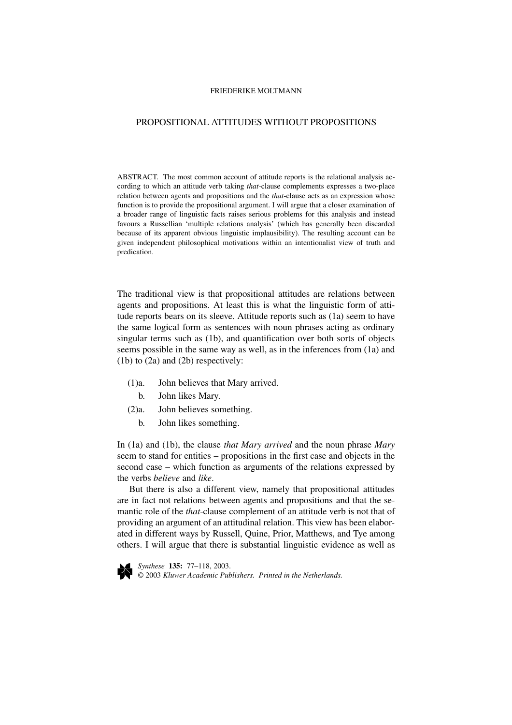# PROPOSITIONAL ATTITUDES WITHOUT PROPOSITIONS

ABSTRACT. The most common account of attitude reports is the relational analysis according to which an attitude verb taking *that*-clause complements expresses a two-place relation between agents and propositions and the *that*-clause acts as an expression whose function is to provide the propositional argument. I will argue that a closer examination of a broader range of linguistic facts raises serious problems for this analysis and instead favours a Russellian 'multiple relations analysis' (which has generally been discarded because of its apparent obvious linguistic implausibility). The resulting account can be given independent philosophical motivations within an intentionalist view of truth and predication.

The traditional view is that propositional attitudes are relations between agents and propositions. At least this is what the linguistic form of attitude reports bears on its sleeve. Attitude reports such as (1a) seem to have the same logical form as sentences with noun phrases acting as ordinary singular terms such as (1b), and quantification over both sorts of objects seems possible in the same way as well, as in the inferences from (1a) and (1b) to (2a) and (2b) respectively:

- (1)a. John believes that Mary arrived.
	- b. John likes Mary.
- (2)a. John believes something.
	- b. John likes something.

In (1a) and (1b), the clause *that Mary arrived* and the noun phrase *Mary* seem to stand for entities – propositions in the first case and objects in the second case – which function as arguments of the relations expressed by the verbs *believe* and *like*.

But there is also a different view, namely that propositional attitudes are in fact not relations between agents and propositions and that the semantic role of the *that*-clause complement of an attitude verb is not that of providing an argument of an attitudinal relation. This view has been elaborated in different ways by Russell, Quine, Prior, Matthews, and Tye among others. I will argue that there is substantial linguistic evidence as well as



*Synthese* **135:** 77–118, 2003. © 2003 *Kluwer Academic Publishers. Printed in the Netherlands.*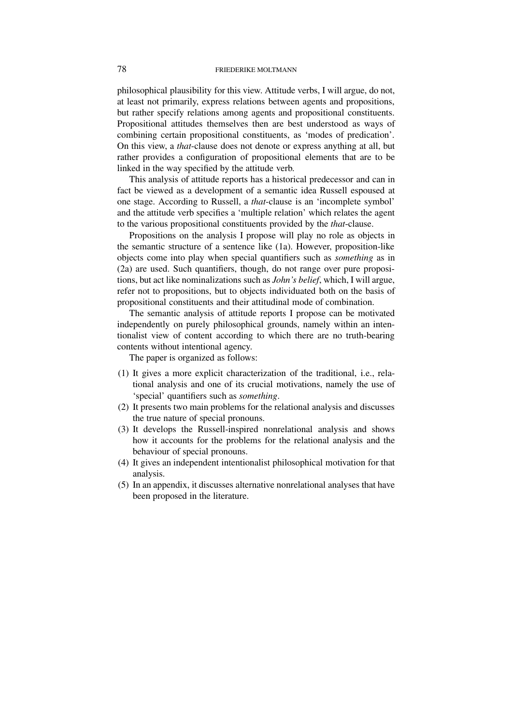philosophical plausibility for this view. Attitude verbs, I will argue, do not, at least not primarily, express relations between agents and propositions, but rather specify relations among agents and propositional constituents. Propositional attitudes themselves then are best understood as ways of combining certain propositional constituents, as 'modes of predication'. On this view, a *that*-clause does not denote or express anything at all, but rather provides a configuration of propositional elements that are to be linked in the way specified by the attitude verb.

This analysis of attitude reports has a historical predecessor and can in fact be viewed as a development of a semantic idea Russell espoused at one stage. According to Russell, a *that*-clause is an 'incomplete symbol' and the attitude verb specifies a 'multiple relation' which relates the agent to the various propositional constituents provided by the *that*-clause.

Propositions on the analysis I propose will play no role as objects in the semantic structure of a sentence like (1a). However, proposition-like objects come into play when special quantifiers such as *something* as in (2a) are used. Such quantifiers, though, do not range over pure propositions, but act like nominalizations such as *John's belief*, which, I will argue, refer not to propositions, but to objects individuated both on the basis of propositional constituents and their attitudinal mode of combination.

The semantic analysis of attitude reports I propose can be motivated independently on purely philosophical grounds, namely within an intentionalist view of content according to which there are no truth-bearing contents without intentional agency.

The paper is organized as follows:

- (1) It gives a more explicit characterization of the traditional, i.e., relational analysis and one of its crucial motivations, namely the use of 'special' quantifiers such as *something*.
- (2) It presents two main problems for the relational analysis and discusses the true nature of special pronouns.
- (3) It develops the Russell-inspired nonrelational analysis and shows how it accounts for the problems for the relational analysis and the behaviour of special pronouns.
- (4) It gives an independent intentionalist philosophical motivation for that analysis.
- (5) In an appendix, it discusses alternative nonrelational analyses that have been proposed in the literature.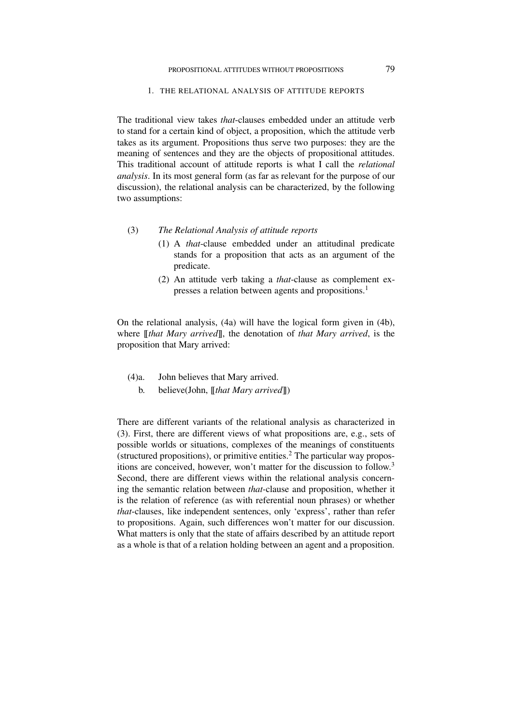### 1. THE RELATIONAL ANALYSIS OF ATTITUDE REPORTS

The traditional view takes *that*-clauses embedded under an attitude verb to stand for a certain kind of object, a proposition, which the attitude verb takes as its argument. Propositions thus serve two purposes: they are the meaning of sentences and they are the objects of propositional attitudes. This traditional account of attitude reports is what I call the *relational analysis*. In its most general form (as far as relevant for the purpose of our discussion), the relational analysis can be characterized, by the following two assumptions:

# (3) *The Relational Analysis of attitude reports*

- (1) A *that*-clause embedded under an attitudinal predicate stands for a proposition that acts as an argument of the predicate.
- (2) An attitude verb taking a *that*-clause as complement expresses a relation between agents and propositions.<sup>1</sup>

On the relational analysis, (4a) will have the logical form given in (4b), where [[*that Mary arrived*]], the denotation of *that Mary arrived*, is the proposition that Mary arrived:

- (4)a. John believes that Mary arrived.
	- b. believe(John, [[*that Mary arrived*]])

There are different variants of the relational analysis as characterized in (3). First, there are different views of what propositions are, e.g., sets of possible worlds or situations, complexes of the meanings of constituents (structured propositions), or primitive entities.<sup>2</sup> The particular way propositions are conceived, however, won't matter for the discussion to follow.<sup>3</sup> Second, there are different views within the relational analysis concerning the semantic relation between *that*-clause and proposition, whether it is the relation of reference (as with referential noun phrases) or whether *that*-clauses, like independent sentences, only 'express', rather than refer to propositions. Again, such differences won't matter for our discussion. What matters is only that the state of affairs described by an attitude report as a whole is that of a relation holding between an agent and a proposition.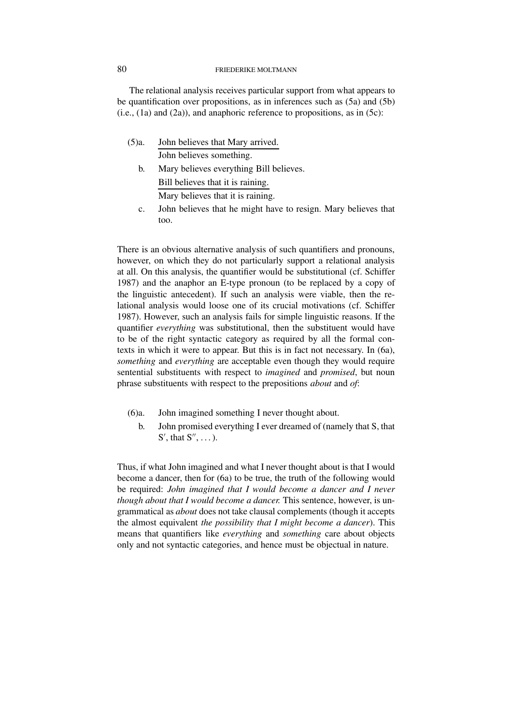The relational analysis receives particular support from what appears to be quantification over propositions, as in inferences such as (5a) and (5b)  $(i.e., (1a)$  and  $(2a)$ ), and anaphoric reference to propositions, as in  $(5c)$ :

- (5)a. John believes that Mary arrived. John believes something.
	- b. Mary believes everything Bill believes. Bill believes that it is raining. Mary believes that it is raining.
	- c. John believes that he might have to resign. Mary believes that too.

There is an obvious alternative analysis of such quantifiers and pronouns, however, on which they do not particularly support a relational analysis at all. On this analysis, the quantifier would be substitutional (cf. Schiffer 1987) and the anaphor an E-type pronoun (to be replaced by a copy of the linguistic antecedent). If such an analysis were viable, then the relational analysis would loose one of its crucial motivations (cf. Schiffer 1987). However, such an analysis fails for simple linguistic reasons. If the quantifier *everything* was substitutional, then the substituent would have to be of the right syntactic category as required by all the formal contexts in which it were to appear. But this is in fact not necessary. In (6a), *something* and *everything* are acceptable even though they would require sentential substituents with respect to *imagined* and *promised*, but noun phrase substituents with respect to the prepositions *about* and *of*:

- (6)a. John imagined something I never thought about.
	- b. John promised everything I ever dreamed of (namely that S, that  $S'$ , that  $S''$ , ...).

Thus, if what John imagined and what I never thought about is that I would become a dancer, then for (6a) to be true, the truth of the following would be required: *John imagined that I would become a dancer and I never though about that I would become a dancer.* This sentence, however, is ungrammatical as *about* does not take clausal complements (though it accepts the almost equivalent *the possibility that I might become a dancer*). This means that quantifiers like *everything* and *something* care about objects only and not syntactic categories, and hence must be objectual in nature.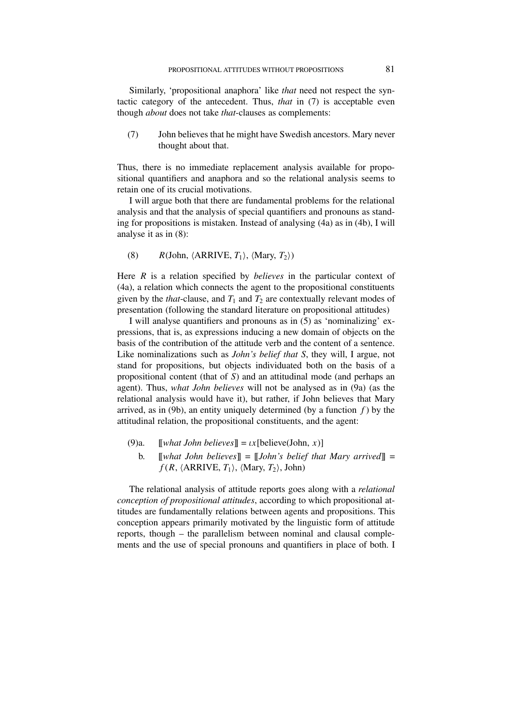Similarly, 'propositional anaphora' like *that* need not respect the syntactic category of the antecedent. Thus, *that* in (7) is acceptable even though *about* does not take *that*-clauses as complements:

(7) John believes that he might have Swedish ancestors. Mary never thought about that.

Thus, there is no immediate replacement analysis available for propositional quantifiers and anaphora and so the relational analysis seems to retain one of its crucial motivations.

I will argue both that there are fundamental problems for the relational analysis and that the analysis of special quantifiers and pronouns as standing for propositions is mistaken. Instead of analysing (4a) as in (4b), I will analyse it as in (8):

(8)  $R(\text{John}, \langle \text{ARRIVE}, T_1 \rangle, \langle \text{Mary}, T_2 \rangle)$ 

Here *R* is a relation specified by *believes* in the particular context of (4a), a relation which connects the agent to the propositional constituents given by the *that*-clause, and  $T_1$  and  $T_2$  are contextually relevant modes of presentation (following the standard literature on propositional attitudes)

I will analyse quantifiers and pronouns as in (5) as 'nominalizing' expressions, that is, as expressions inducing a new domain of objects on the basis of the contribution of the attitude verb and the content of a sentence. Like nominalizations such as *John's belief that S*, they will, I argue, not stand for propositions, but objects individuated both on the basis of a propositional content (that of *S*) and an attitudinal mode (and perhaps an agent). Thus, *what John believes* will not be analysed as in (9a) (as the relational analysis would have it), but rather, if John believes that Mary arrived, as in (9b), an entity uniquely determined (by a function  $f$ ) by the attitudinal relation, the propositional constituents, and the agent:

- (9)a.  $\llbracket \text{what John believes} \rrbracket = \iota x[\text{believe}(\text{John}, x)]$ 
	- b. [[*what John believes*]] = [[*John's belief that Mary arrived*]] =  $f(R, \langle \text{ARRIVE}, T_1 \rangle, \langle \text{Mary}, T_2 \rangle, \text{John})$

The relational analysis of attitude reports goes along with a *relational conception of propositional attitudes*, according to which propositional attitudes are fundamentally relations between agents and propositions. This conception appears primarily motivated by the linguistic form of attitude reports, though – the parallelism between nominal and clausal complements and the use of special pronouns and quantifiers in place of both. I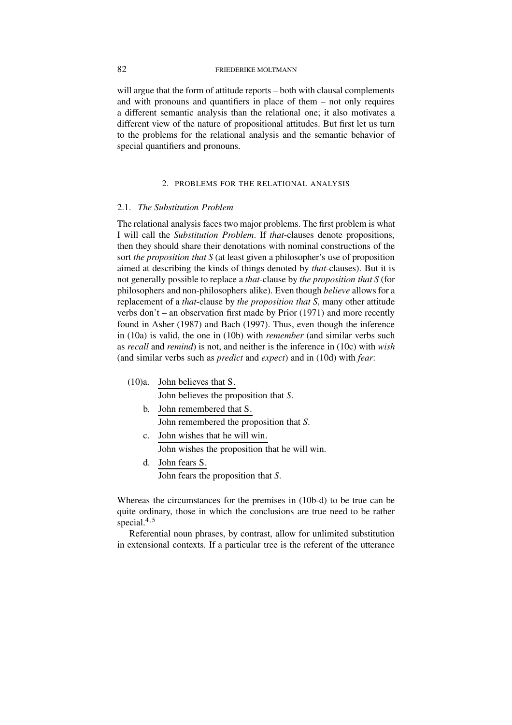will argue that the form of attitude reports – both with clausal complements and with pronouns and quantifiers in place of them – not only requires a different semantic analysis than the relational one; it also motivates a different view of the nature of propositional attitudes. But first let us turn to the problems for the relational analysis and the semantic behavior of special quantifiers and pronouns.

# 2. PROBLEMS FOR THE RELATIONAL ANALYSIS

### 2.1. *The Substitution Problem*

The relational analysis faces two major problems. The first problem is what I will call the *Substitution Problem*. If *that*-clauses denote propositions, then they should share their denotations with nominal constructions of the sort *the proposition that S* (at least given a philosopher's use of proposition aimed at describing the kinds of things denoted by *that*-clauses). But it is not generally possible to replace a *that*-clause by *the proposition that S* (for philosophers and non-philosophers alike). Even though *believe* allows for a replacement of a *that*-clause by *the proposition that S*, many other attitude verbs don't – an observation first made by Prior (1971) and more recently found in Asher (1987) and Bach (1997). Thus, even though the inference in (10a) is valid, the one in (10b) with *remember* (and similar verbs such as *recall* and *remind*) is not, and neither is the inference in (10c) with *wish* (and similar verbs such as *predict* and *expect*) and in (10d) with *fear*:

- (10)a. John believes that S. John believes the proposition that *S*.
	- b. John remembered that S. John remembered the proposition that *S*.
	- c. John wishes that he will win. John wishes the proposition that he will win.
	- d. John fears S. John fears the proposition that *S*.

Whereas the circumstances for the premises in (10b-d) to be true can be quite ordinary, those in which the conclusions are true need to be rather special.<sup>4</sup>*,*<sup>5</sup>

Referential noun phrases, by contrast, allow for unlimited substitution in extensional contexts. If a particular tree is the referent of the utterance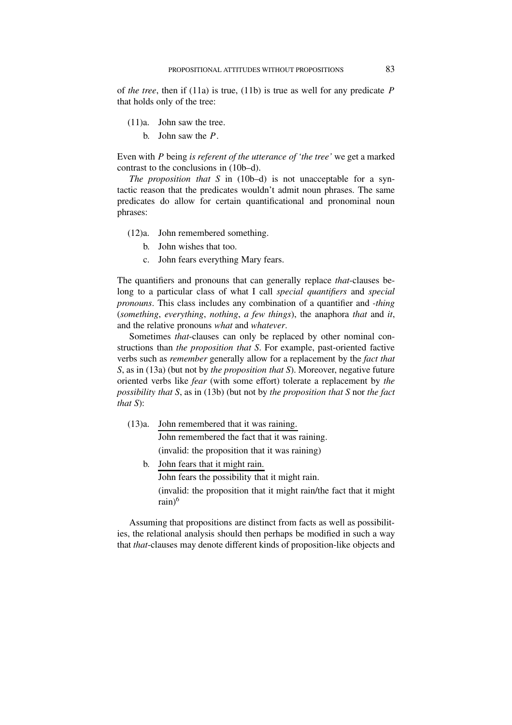of *the tree*, then if (11a) is true, (11b) is true as well for any predicate *P* that holds only of the tree:

- (11)a. John saw the tree.
	- b. John saw the *P*.

Even with *P* being *is referent of the utterance of 'the tree'* we get a marked contrast to the conclusions in (10b–d).

*The proposition that S* in (10b–d) is not unacceptable for a syntactic reason that the predicates wouldn't admit noun phrases. The same predicates do allow for certain quantificational and pronominal noun phrases:

- (12)a. John remembered something.
	- b. John wishes that too.
	- c. John fears everything Mary fears.

The quantifiers and pronouns that can generally replace *that*-clauses belong to a particular class of what I call *special quantifiers* and *special pronouns*. This class includes any combination of a quantifier and *-thing* (*something*, *everything*, *nothing*, *a few things*), the anaphora *that* and *it*, and the relative pronouns *what* and *whatever*.

Sometimes *that*-clauses can only be replaced by other nominal constructions than *the proposition that S*. For example, past-oriented factive verbs such as *remember* generally allow for a replacement by the *fact that S*, as in (13a) (but not by *the proposition that S*). Moreover, negative future oriented verbs like *fear* (with some effort) tolerate a replacement by *the possibility that S*, as in (13b) (but not by *the proposition that S* nor *the fact that S*):

(13)a. John remembered that it was raining.

John remembered the fact that it was raining.

(invalid: the proposition that it was raining)

b. John fears that it might rain.

John fears the possibility that it might rain.

(invalid: the proposition that it might rain/the fact that it might rain $)^6$ 

Assuming that propositions are distinct from facts as well as possibilities, the relational analysis should then perhaps be modified in such a way that *that*-clauses may denote different kinds of proposition-like objects and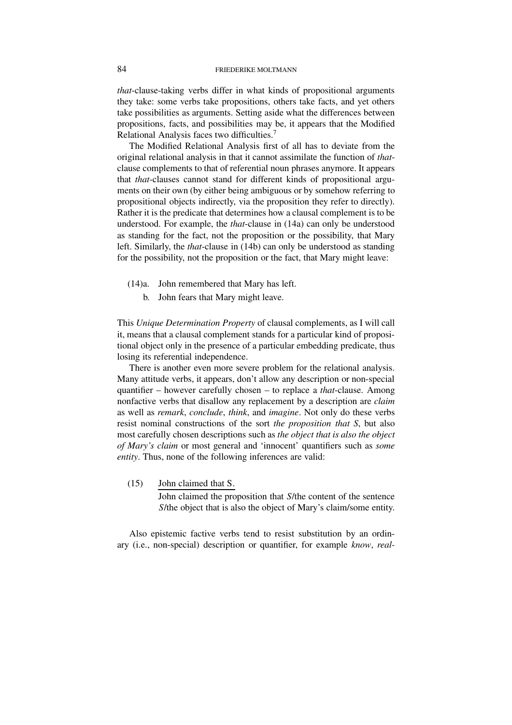*that*-clause-taking verbs differ in what kinds of propositional arguments they take: some verbs take propositions, others take facts, and yet others take possibilities as arguments. Setting aside what the differences between propositions, facts, and possibilities may be, it appears that the Modified Relational Analysis faces two difficulties.<sup>7</sup>

The Modified Relational Analysis first of all has to deviate from the original relational analysis in that it cannot assimilate the function of *that*clause complements to that of referential noun phrases anymore. It appears that *that*-clauses cannot stand for different kinds of propositional arguments on their own (by either being ambiguous or by somehow referring to propositional objects indirectly, via the proposition they refer to directly). Rather it is the predicate that determines how a clausal complement is to be understood. For example, the *that*-clause in (14a) can only be understood as standing for the fact, not the proposition or the possibility, that Mary left. Similarly, the *that*-clause in (14b) can only be understood as standing for the possibility, not the proposition or the fact, that Mary might leave:

- (14)a. John remembered that Mary has left.
	- b. John fears that Mary might leave.

This *Unique Determination Property* of clausal complements, as I will call it, means that a clausal complement stands for a particular kind of propositional object only in the presence of a particular embedding predicate, thus losing its referential independence.

There is another even more severe problem for the relational analysis. Many attitude verbs, it appears, don't allow any description or non-special quantifier – however carefully chosen – to replace a *that*-clause. Among nonfactive verbs that disallow any replacement by a description are *claim* as well as *remark*, *conclude*, *think*, and *imagine*. Not only do these verbs resist nominal constructions of the sort *the proposition that S*, but also most carefully chosen descriptions such as *the object that is also the object of Mary's claim* or most general and 'innocent' quantifiers such as *some entity*. Thus, none of the following inferences are valid:

(15) John claimed that S. John claimed the proposition that *S*/the content of the sentence *S*/the object that is also the object of Mary's claim/some entity.

Also epistemic factive verbs tend to resist substitution by an ordinary (i.e., non-special) description or quantifier, for example *know*, *real-*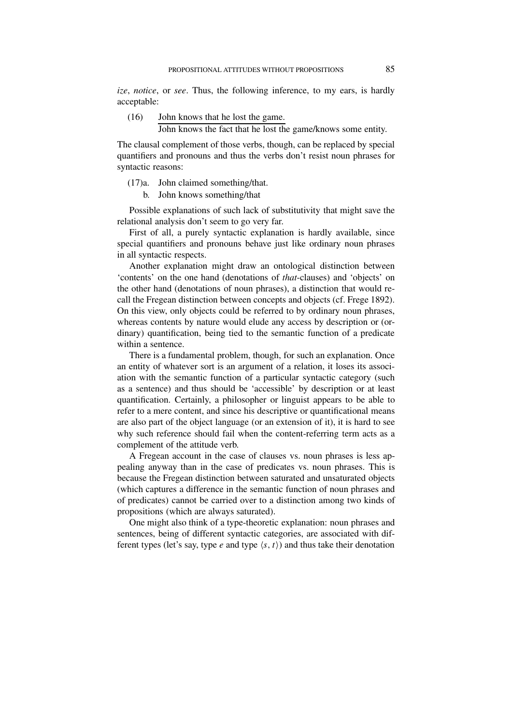*ize*, *notice*, or *see*. Thus, the following inference, to my ears, is hardly acceptable:

(16) John knows that he lost the game. John knows the fact that he lost the game/knows some entity.

The clausal complement of those verbs, though, can be replaced by special quantifiers and pronouns and thus the verbs don't resist noun phrases for

(17)a. John claimed something/that.

syntactic reasons:

b. John knows something/that

Possible explanations of such lack of substitutivity that might save the relational analysis don't seem to go very far.

First of all, a purely syntactic explanation is hardly available, since special quantifiers and pronouns behave just like ordinary noun phrases in all syntactic respects.

Another explanation might draw an ontological distinction between 'contents' on the one hand (denotations of *that*-clauses) and 'objects' on the other hand (denotations of noun phrases), a distinction that would recall the Fregean distinction between concepts and objects (cf. Frege 1892). On this view, only objects could be referred to by ordinary noun phrases, whereas contents by nature would elude any access by description or (ordinary) quantification, being tied to the semantic function of a predicate within a sentence.

There is a fundamental problem, though, for such an explanation. Once an entity of whatever sort is an argument of a relation, it loses its association with the semantic function of a particular syntactic category (such as a sentence) and thus should be 'accessible' by description or at least quantification. Certainly, a philosopher or linguist appears to be able to refer to a mere content, and since his descriptive or quantificational means are also part of the object language (or an extension of it), it is hard to see why such reference should fail when the content-referring term acts as a complement of the attitude verb.

A Fregean account in the case of clauses vs. noun phrases is less appealing anyway than in the case of predicates vs. noun phrases. This is because the Fregean distinction between saturated and unsaturated objects (which captures a difference in the semantic function of noun phrases and of predicates) cannot be carried over to a distinction among two kinds of propositions (which are always saturated).

One might also think of a type-theoretic explanation: noun phrases and sentences, being of different syntactic categories, are associated with different types (let's say, type  $e$  and type  $\langle s, t \rangle$ ) and thus take their denotation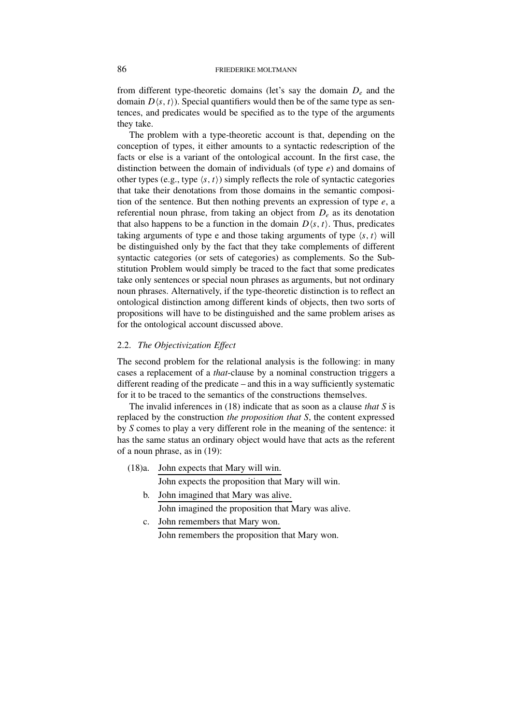from different type-theoretic domains (let's say the domain *De* and the domain  $D(s, t)$ ). Special quantifiers would then be of the same type as sentences, and predicates would be specified as to the type of the arguments they take.

The problem with a type-theoretic account is that, depending on the conception of types, it either amounts to a syntactic redescription of the facts or else is a variant of the ontological account. In the first case, the distinction between the domain of individuals (of type *e*) and domains of other types (e.g., type  $\langle s, t \rangle$ ) simply reflects the role of syntactic categories that take their denotations from those domains in the semantic composition of the sentence. But then nothing prevents an expression of type *e*, a referential noun phrase, from taking an object from *De* as its denotation that also happens to be a function in the domain  $D(s, t)$ . Thus, predicates taking arguments of type e and those taking arguments of type  $\langle s, t \rangle$  will be distinguished only by the fact that they take complements of different syntactic categories (or sets of categories) as complements. So the Substitution Problem would simply be traced to the fact that some predicates take only sentences or special noun phrases as arguments, but not ordinary noun phrases. Alternatively, if the type-theoretic distinction is to reflect an ontological distinction among different kinds of objects, then two sorts of propositions will have to be distinguished and the same problem arises as for the ontological account discussed above.

# 2.2. *The Objectivization Effect*

The second problem for the relational analysis is the following: in many cases a replacement of a *that*-clause by a nominal construction triggers a different reading of the predicate – and this in a way sufficiently systematic for it to be traced to the semantics of the constructions themselves.

The invalid inferences in (18) indicate that as soon as a clause *that S* is replaced by the construction *the proposition that S*, the content expressed by *S* comes to play a very different role in the meaning of the sentence: it has the same status an ordinary object would have that acts as the referent of a noun phrase, as in (19):

(18)a. John expects that Mary will win.

John expects the proposition that Mary will win.

- b. John imagined that Mary was alive. John imagined the proposition that Mary was alive.
- c. John remembers that Mary won. John remembers the proposition that Mary won.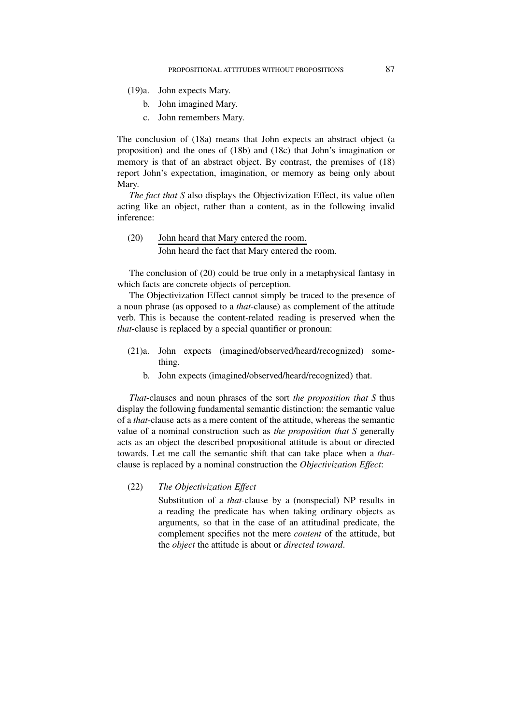(19)a. John expects Mary.

- b. John imagined Mary.
- c. John remembers Mary.

The conclusion of (18a) means that John expects an abstract object (a proposition) and the ones of (18b) and (18c) that John's imagination or memory is that of an abstract object. By contrast, the premises of (18) report John's expectation, imagination, or memory as being only about Mary.

*The fact that S* also displays the Objectivization Effect, its value often acting like an object, rather than a content, as in the following invalid inference:

(20) John heard that Mary entered the room.

John heard the fact that Mary entered the room.

The conclusion of (20) could be true only in a metaphysical fantasy in which facts are concrete objects of perception.

The Objectivization Effect cannot simply be traced to the presence of a noun phrase (as opposed to a *that*-clause) as complement of the attitude verb. This is because the content-related reading is preserved when the *that*-clause is replaced by a special quantifier or pronoun:

- (21)a. John expects (imagined/observed/heard/recognized) something.
	- b. John expects (imagined/observed/heard/recognized) that.

*That*-clauses and noun phrases of the sort *the proposition that S* thus display the following fundamental semantic distinction: the semantic value of a *that*-clause acts as a mere content of the attitude, whereas the semantic value of a nominal construction such as *the proposition that S* generally acts as an object the described propositional attitude is about or directed towards. Let me call the semantic shift that can take place when a *that*clause is replaced by a nominal construction the *Objectivization Effect*:

# (22) *The Objectivization Effect*

Substitution of a *that*-clause by a (nonspecial) NP results in a reading the predicate has when taking ordinary objects as arguments, so that in the case of an attitudinal predicate, the complement specifies not the mere *content* of the attitude, but the *object* the attitude is about or *directed toward*.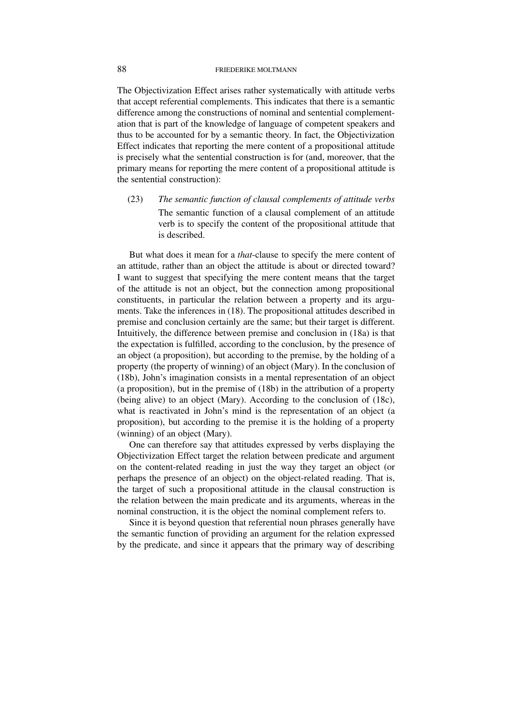The Objectivization Effect arises rather systematically with attitude verbs that accept referential complements. This indicates that there is a semantic difference among the constructions of nominal and sentential complementation that is part of the knowledge of language of competent speakers and thus to be accounted for by a semantic theory. In fact, the Objectivization Effect indicates that reporting the mere content of a propositional attitude is precisely what the sentential construction is for (and, moreover, that the primary means for reporting the mere content of a propositional attitude is the sentential construction):

(23) *The semantic function of clausal complements of attitude verbs* The semantic function of a clausal complement of an attitude verb is to specify the content of the propositional attitude that is described.

But what does it mean for a *that*-clause to specify the mere content of an attitude, rather than an object the attitude is about or directed toward? I want to suggest that specifying the mere content means that the target of the attitude is not an object, but the connection among propositional constituents, in particular the relation between a property and its arguments. Take the inferences in (18). The propositional attitudes described in premise and conclusion certainly are the same; but their target is different. Intuitively, the difference between premise and conclusion in (18a) is that the expectation is fulfilled, according to the conclusion, by the presence of an object (a proposition), but according to the premise, by the holding of a property (the property of winning) of an object (Mary). In the conclusion of (18b), John's imagination consists in a mental representation of an object (a proposition), but in the premise of (18b) in the attribution of a property (being alive) to an object (Mary). According to the conclusion of (18c), what is reactivated in John's mind is the representation of an object (a proposition), but according to the premise it is the holding of a property (winning) of an object (Mary).

One can therefore say that attitudes expressed by verbs displaying the Objectivization Effect target the relation between predicate and argument on the content-related reading in just the way they target an object (or perhaps the presence of an object) on the object-related reading. That is, the target of such a propositional attitude in the clausal construction is the relation between the main predicate and its arguments, whereas in the nominal construction, it is the object the nominal complement refers to.

Since it is beyond question that referential noun phrases generally have the semantic function of providing an argument for the relation expressed by the predicate, and since it appears that the primary way of describing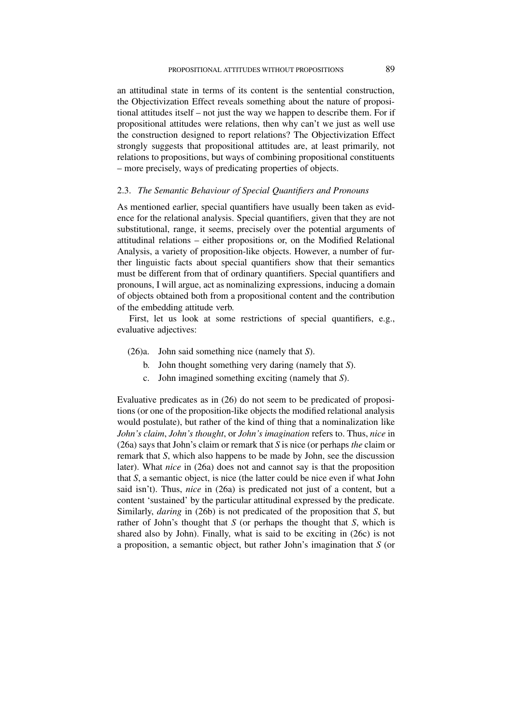an attitudinal state in terms of its content is the sentential construction, the Objectivization Effect reveals something about the nature of propositional attitudes itself – not just the way we happen to describe them. For if propositional attitudes were relations, then why can't we just as well use the construction designed to report relations? The Objectivization Effect strongly suggests that propositional attitudes are, at least primarily, not relations to propositions, but ways of combining propositional constituents – more precisely, ways of predicating properties of objects.

### 2.3. *The Semantic Behaviour of Special Quantifiers and Pronouns*

As mentioned earlier, special quantifiers have usually been taken as evidence for the relational analysis. Special quantifiers, given that they are not substitutional, range, it seems, precisely over the potential arguments of attitudinal relations – either propositions or, on the Modified Relational Analysis, a variety of proposition-like objects. However, a number of further linguistic facts about special quantifiers show that their semantics must be different from that of ordinary quantifiers. Special quantifiers and pronouns, I will argue, act as nominalizing expressions, inducing a domain of objects obtained both from a propositional content and the contribution of the embedding attitude verb.

First, let us look at some restrictions of special quantifiers, e.g., evaluative adjectives:

- (26)a. John said something nice (namely that *S*).
	- b. John thought something very daring (namely that *S*).
	- c. John imagined something exciting (namely that *S*).

Evaluative predicates as in (26) do not seem to be predicated of propositions (or one of the proposition-like objects the modified relational analysis would postulate), but rather of the kind of thing that a nominalization like *John's claim*, *John's thought*, or *John's imagination* refers to. Thus, *nice* in (26a) says that John's claim or remark that *S* is nice (or perhaps *the* claim or remark that *S*, which also happens to be made by John, see the discussion later). What *nice* in (26a) does not and cannot say is that the proposition that *S*, a semantic object, is nice (the latter could be nice even if what John said isn't). Thus, *nice* in (26a) is predicated not just of a content, but a content 'sustained' by the particular attitudinal expressed by the predicate. Similarly, *daring* in (26b) is not predicated of the proposition that *S*, but rather of John's thought that *S* (or perhaps the thought that *S*, which is shared also by John). Finally, what is said to be exciting in (26c) is not a proposition, a semantic object, but rather John's imagination that *S* (or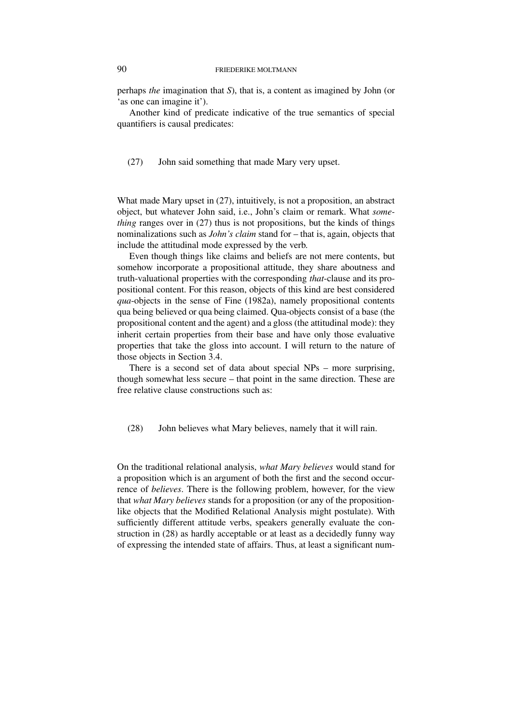perhaps *the* imagination that *S*), that is, a content as imagined by John (or 'as one can imagine it').

Another kind of predicate indicative of the true semantics of special quantifiers is causal predicates:

(27) John said something that made Mary very upset.

What made Mary upset in (27), intuitively, is not a proposition, an abstract object, but whatever John said, i.e., John's claim or remark. What *something* ranges over in (27) thus is not propositions, but the kinds of things nominalizations such as *John's claim* stand for – that is, again, objects that include the attitudinal mode expressed by the verb.

Even though things like claims and beliefs are not mere contents, but somehow incorporate a propositional attitude, they share aboutness and truth-valuational properties with the corresponding *that*-clause and its propositional content. For this reason, objects of this kind are best considered *qua*-objects in the sense of Fine (1982a), namely propositional contents qua being believed or qua being claimed. Qua-objects consist of a base (the propositional content and the agent) and a gloss (the attitudinal mode): they inherit certain properties from their base and have only those evaluative properties that take the gloss into account. I will return to the nature of those objects in Section 3.4.

There is a second set of data about special NPs – more surprising, though somewhat less secure – that point in the same direction. These are free relative clause constructions such as:

(28) John believes what Mary believes, namely that it will rain.

On the traditional relational analysis, *what Mary believes* would stand for a proposition which is an argument of both the first and the second occurrence of *believes*. There is the following problem, however, for the view that *what Mary believes* stands for a proposition (or any of the propositionlike objects that the Modified Relational Analysis might postulate). With sufficiently different attitude verbs, speakers generally evaluate the construction in (28) as hardly acceptable or at least as a decidedly funny way of expressing the intended state of affairs. Thus, at least a significant num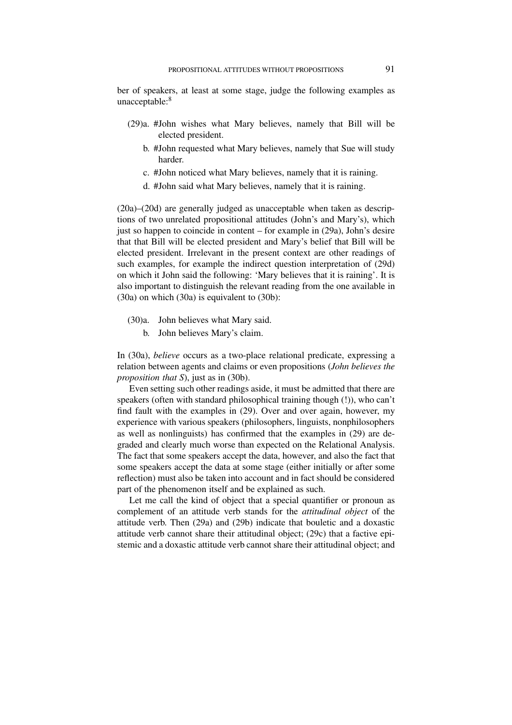ber of speakers, at least at some stage, judge the following examples as unacceptable:<sup>8</sup>

- (29)a. #John wishes what Mary believes, namely that Bill will be elected president.
	- b. #John requested what Mary believes, namely that Sue will study harder.
	- c. #John noticed what Mary believes, namely that it is raining.
	- d. #John said what Mary believes, namely that it is raining.

(20a)–(20d) are generally judged as unacceptable when taken as descriptions of two unrelated propositional attitudes (John's and Mary's), which just so happen to coincide in content – for example in (29a), John's desire that that Bill will be elected president and Mary's belief that Bill will be elected president. Irrelevant in the present context are other readings of such examples, for example the indirect question interpretation of (29d) on which it John said the following: 'Mary believes that it is raining'. It is also important to distinguish the relevant reading from the one available in (30a) on which (30a) is equivalent to (30b):

- (30)a. John believes what Mary said.
	- b. John believes Mary's claim.

In (30a), *believe* occurs as a two-place relational predicate, expressing a relation between agents and claims or even propositions (*John believes the proposition that S*), just as in (30b).

Even setting such other readings aside, it must be admitted that there are speakers (often with standard philosophical training though (!)), who can't find fault with the examples in (29). Over and over again, however, my experience with various speakers (philosophers, linguists, nonphilosophers as well as nonlinguists) has confirmed that the examples in (29) are degraded and clearly much worse than expected on the Relational Analysis. The fact that some speakers accept the data, however, and also the fact that some speakers accept the data at some stage (either initially or after some reflection) must also be taken into account and in fact should be considered part of the phenomenon itself and be explained as such.

Let me call the kind of object that a special quantifier or pronoun as complement of an attitude verb stands for the *attitudinal object* of the attitude verb. Then (29a) and (29b) indicate that bouletic and a doxastic attitude verb cannot share their attitudinal object; (29c) that a factive epistemic and a doxastic attitude verb cannot share their attitudinal object; and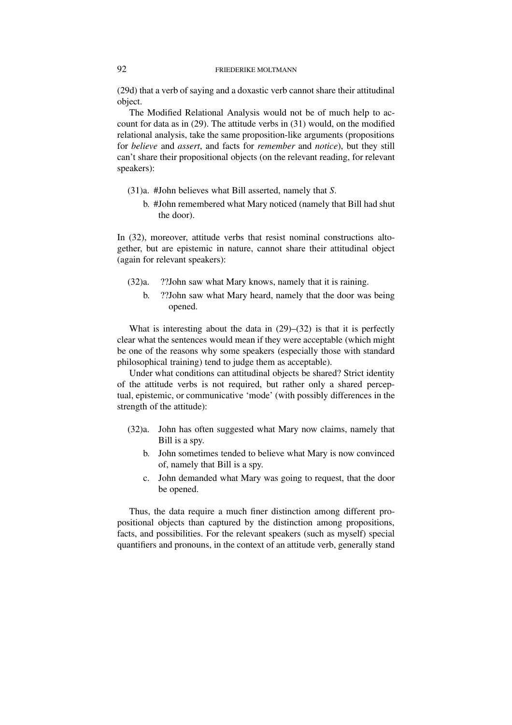(29d) that a verb of saying and a doxastic verb cannot share their attitudinal object.

The Modified Relational Analysis would not be of much help to account for data as in (29). The attitude verbs in (31) would, on the modified relational analysis, take the same proposition-like arguments (propositions for *believe* and *assert*, and facts for *remember* and *notice*), but they still can't share their propositional objects (on the relevant reading, for relevant speakers):

- (31)a. #John believes what Bill asserted, namely that *S*.
	- b. #John remembered what Mary noticed (namely that Bill had shut the door).

In (32), moreover, attitude verbs that resist nominal constructions altogether, but are epistemic in nature, cannot share their attitudinal object (again for relevant speakers):

- (32)a. ??John saw what Mary knows, namely that it is raining.
	- b. ??John saw what Mary heard, namely that the door was being opened.

What is interesting about the data in (29)–(32) is that it is perfectly clear what the sentences would mean if they were acceptable (which might be one of the reasons why some speakers (especially those with standard philosophical training) tend to judge them as acceptable).

Under what conditions can attitudinal objects be shared? Strict identity of the attitude verbs is not required, but rather only a shared perceptual, epistemic, or communicative 'mode' (with possibly differences in the strength of the attitude):

- (32)a. John has often suggested what Mary now claims, namely that Bill is a spy.
	- b. John sometimes tended to believe what Mary is now convinced of, namely that Bill is a spy.
	- c. John demanded what Mary was going to request, that the door be opened.

Thus, the data require a much finer distinction among different propositional objects than captured by the distinction among propositions, facts, and possibilities. For the relevant speakers (such as myself) special quantifiers and pronouns, in the context of an attitude verb, generally stand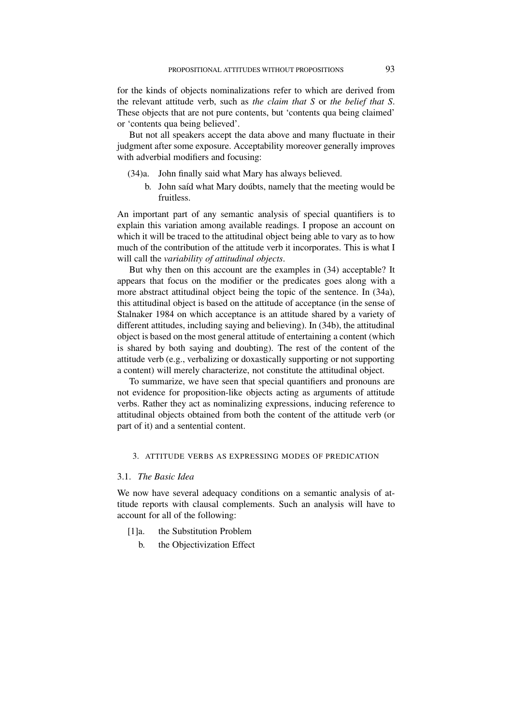for the kinds of objects nominalizations refer to which are derived from the relevant attitude verb, such as *the claim that S* or *the belief that S*. These objects that are not pure contents, but 'contents qua being claimed' or 'contents qua being believed'.

But not all speakers accept the data above and many fluctuate in their judgment after some exposure. Acceptability moreover generally improves with adverbial modifiers and focusing:

- (34)a. John finally said what Mary has always believed.
	- b. John saíd what Mary doubts, namely that the meeting would be fruitless.

An important part of any semantic analysis of special quantifiers is to explain this variation among available readings. I propose an account on which it will be traced to the attitudinal object being able to vary as to how much of the contribution of the attitude verb it incorporates. This is what I will call the *variability of attitudinal objects*.

But why then on this account are the examples in (34) acceptable? It appears that focus on the modifier or the predicates goes along with a more abstract attitudinal object being the topic of the sentence. In (34a), this attitudinal object is based on the attitude of acceptance (in the sense of Stalnaker 1984 on which acceptance is an attitude shared by a variety of different attitudes, including saying and believing). In (34b), the attitudinal object is based on the most general attitude of entertaining a content (which is shared by both saying and doubting). The rest of the content of the attitude verb (e.g., verbalizing or doxastically supporting or not supporting a content) will merely characterize, not constitute the attitudinal object.

To summarize, we have seen that special quantifiers and pronouns are not evidence for proposition-like objects acting as arguments of attitude verbs. Rather they act as nominalizing expressions, inducing reference to attitudinal objects obtained from both the content of the attitude verb (or part of it) and a sentential content.

# 3. ATTITUDE VERBS AS EXPRESSING MODES OF PREDICATION

## 3.1. *The Basic Idea*

We now have several adequacy conditions on a semantic analysis of attitude reports with clausal complements. Such an analysis will have to account for all of the following:

- [1]a. the Substitution Problem
	- b. the Objectivization Effect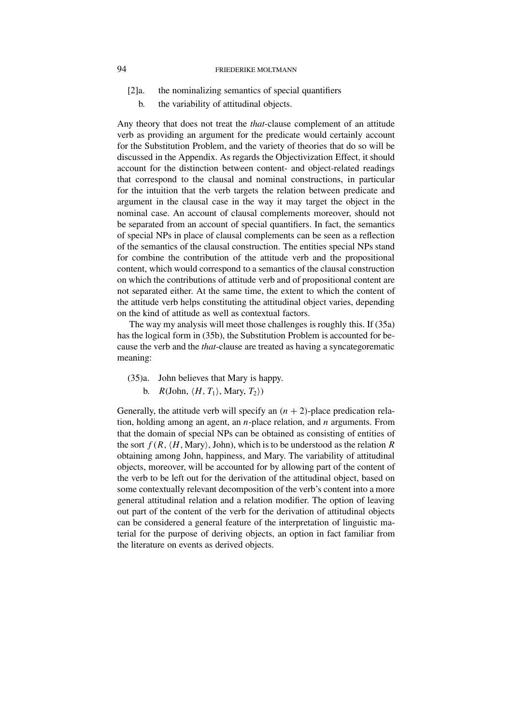- [2]a. the nominalizing semantics of special quantifiers
	- b. the variability of attitudinal objects.

Any theory that does not treat the *that*-clause complement of an attitude verb as providing an argument for the predicate would certainly account for the Substitution Problem, and the variety of theories that do so will be discussed in the Appendix. As regards the Objectivization Effect, it should account for the distinction between content- and object-related readings that correspond to the clausal and nominal constructions, in particular for the intuition that the verb targets the relation between predicate and argument in the clausal case in the way it may target the object in the nominal case. An account of clausal complements moreover, should not be separated from an account of special quantifiers. In fact, the semantics of special NPs in place of clausal complements can be seen as a reflection of the semantics of the clausal construction. The entities special NPs stand for combine the contribution of the attitude verb and the propositional content, which would correspond to a semantics of the clausal construction on which the contributions of attitude verb and of propositional content are not separated either. At the same time, the extent to which the content of the attitude verb helps constituting the attitudinal object varies, depending on the kind of attitude as well as contextual factors.

The way my analysis will meet those challenges is roughly this. If (35a) has the logical form in (35b), the Substitution Problem is accounted for because the verb and the *that*-clause are treated as having a syncategorematic meaning:

- (35)a. John believes that Mary is happy.
	- b. *R*(John,  $\langle H, T_1 \rangle$ , Mary,  $T_2 \rangle$ )

Generally, the attitude verb will specify an  $(n + 2)$ -place predication relation, holding among an agent, an *n*-place relation, and *n* arguments. From that the domain of special NPs can be obtained as consisting of entities of the sort  $f(R, \langle H, \text{Mary} \rangle)$ , John), which is to be understood as the relation *R* obtaining among John, happiness, and Mary. The variability of attitudinal objects, moreover, will be accounted for by allowing part of the content of the verb to be left out for the derivation of the attitudinal object, based on some contextually relevant decomposition of the verb's content into a more general attitudinal relation and a relation modifier. The option of leaving out part of the content of the verb for the derivation of attitudinal objects can be considered a general feature of the interpretation of linguistic material for the purpose of deriving objects, an option in fact familiar from the literature on events as derived objects.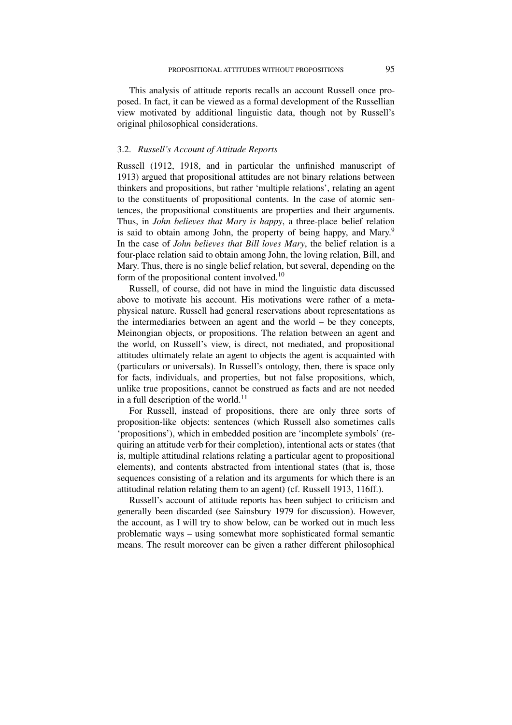This analysis of attitude reports recalls an account Russell once proposed. In fact, it can be viewed as a formal development of the Russellian view motivated by additional linguistic data, though not by Russell's original philosophical considerations.

#### 3.2. *Russell's Account of Attitude Reports*

Russell (1912, 1918, and in particular the unfinished manuscript of 1913) argued that propositional attitudes are not binary relations between thinkers and propositions, but rather 'multiple relations', relating an agent to the constituents of propositional contents. In the case of atomic sentences, the propositional constituents are properties and their arguments. Thus, in *John believes that Mary is happy*, a three-place belief relation is said to obtain among John, the property of being happy, and Mary.<sup>9</sup> In the case of *John believes that Bill loves Mary*, the belief relation is a four-place relation said to obtain among John, the loving relation, Bill, and Mary. Thus, there is no single belief relation, but several, depending on the form of the propositional content involved.<sup>10</sup>

Russell, of course, did not have in mind the linguistic data discussed above to motivate his account. His motivations were rather of a metaphysical nature. Russell had general reservations about representations as the intermediaries between an agent and the world – be they concepts, Meinongian objects, or propositions. The relation between an agent and the world, on Russell's view, is direct, not mediated, and propositional attitudes ultimately relate an agent to objects the agent is acquainted with (particulars or universals). In Russell's ontology, then, there is space only for facts, individuals, and properties, but not false propositions, which, unlike true propositions, cannot be construed as facts and are not needed in a full description of the world. $11$ 

For Russell, instead of propositions, there are only three sorts of proposition-like objects: sentences (which Russell also sometimes calls 'propositions'), which in embedded position are 'incomplete symbols' (requiring an attitude verb for their completion), intentional acts or states (that is, multiple attitudinal relations relating a particular agent to propositional elements), and contents abstracted from intentional states (that is, those sequences consisting of a relation and its arguments for which there is an attitudinal relation relating them to an agent) (cf. Russell 1913, 116ff.).

Russell's account of attitude reports has been subject to criticism and generally been discarded (see Sainsbury 1979 for discussion). However, the account, as I will try to show below, can be worked out in much less problematic ways – using somewhat more sophisticated formal semantic means. The result moreover can be given a rather different philosophical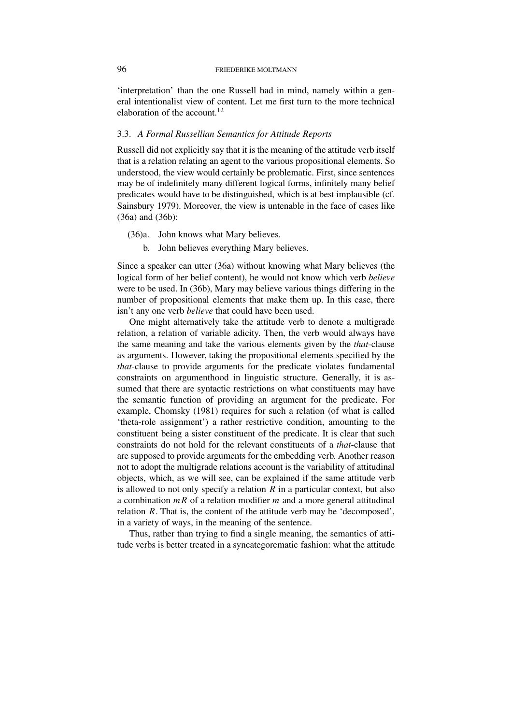'interpretation' than the one Russell had in mind, namely within a general intentionalist view of content. Let me first turn to the more technical elaboration of the account.<sup>12</sup>

# 3.3. *A Formal Russellian Semantics for Attitude Reports*

Russell did not explicitly say that it is the meaning of the attitude verb itself that is a relation relating an agent to the various propositional elements. So understood, the view would certainly be problematic. First, since sentences may be of indefinitely many different logical forms, infinitely many belief predicates would have to be distinguished, which is at best implausible (cf. Sainsbury 1979). Moreover, the view is untenable in the face of cases like (36a) and (36b):

- (36)a. John knows what Mary believes.
	- b. John believes everything Mary believes.

Since a speaker can utter (36a) without knowing what Mary believes (the logical form of her belief content), he would not know which verb *believe* were to be used. In (36b), Mary may believe various things differing in the number of propositional elements that make them up. In this case, there isn't any one verb *believe* that could have been used.

One might alternatively take the attitude verb to denote a multigrade relation, a relation of variable adicity. Then, the verb would always have the same meaning and take the various elements given by the *that*-clause as arguments. However, taking the propositional elements specified by the *that*-clause to provide arguments for the predicate violates fundamental constraints on argumenthood in linguistic structure. Generally, it is assumed that there are syntactic restrictions on what constituents may have the semantic function of providing an argument for the predicate. For example, Chomsky (1981) requires for such a relation (of what is called 'theta-role assignment') a rather restrictive condition, amounting to the constituent being a sister constituent of the predicate. It is clear that such constraints do not hold for the relevant constituents of a *that*-clause that are supposed to provide arguments for the embedding verb. Another reason not to adopt the multigrade relations account is the variability of attitudinal objects, which, as we will see, can be explained if the same attitude verb is allowed to not only specify a relation  $R$  in a particular context, but also a combination *mR* of a relation modifier *m* and a more general attitudinal relation *R*. That is, the content of the attitude verb may be 'decomposed', in a variety of ways, in the meaning of the sentence.

Thus, rather than trying to find a single meaning, the semantics of attitude verbs is better treated in a syncategorematic fashion: what the attitude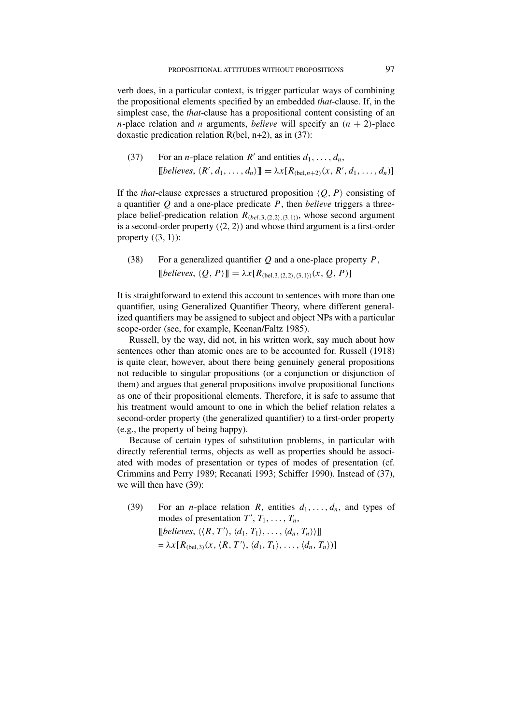verb does, in a particular context, is trigger particular ways of combining the propositional elements specified by an embedded *that*-clause. If, in the simplest case, the *that*-clause has a propositional content consisting of an *n*-place relation and *n* arguments, *believe* will specify an  $(n + 2)$ -place doxastic predication relation  $R(bel, n+2)$ , as in (37):

(37) For an *n*-place relation *R'* and entities  $d_1, \ldots, d_n$ ,  $[[believes, \langle R', d_1, \ldots, d_n \rangle]] = \lambda x [R_{(bel, n+2)}(x, R', d_1, \ldots, d_n)]$ 

If the *that*-clause expresses a structured proposition  $\langle Q, P \rangle$  consisting of a quantifier *Q* and a one-place predicate *P*, then *believe* triggers a threeplace belief-predication relation  $R_{(bel,3,(2,2),(3,1))}$ , whose second argument is a second-order property  $(\langle 2, 2 \rangle)$  and whose third argument is a first-order property  $(\langle 3, 1 \rangle)$ :

(38) For a generalized quantifier *Q* and a one-place property *P*,  $[[believes, \langle Q, P \rangle]] = \lambda x [R_{(bel,3, (2,2), (3,1))}(x, Q, P)]$ 

It is straightforward to extend this account to sentences with more than one quantifier, using Generalized Quantifier Theory, where different generalized quantifiers may be assigned to subject and object NPs with a particular scope-order (see, for example, Keenan/Faltz 1985).

Russell, by the way, did not, in his written work, say much about how sentences other than atomic ones are to be accounted for. Russell (1918) is quite clear, however, about there being genuinely general propositions not reducible to singular propositions (or a conjunction or disjunction of them) and argues that general propositions involve propositional functions as one of their propositional elements. Therefore, it is safe to assume that his treatment would amount to one in which the belief relation relates a second-order property (the generalized quantifier) to a first-order property (e.g., the property of being happy).

Because of certain types of substitution problems, in particular with directly referential terms, objects as well as properties should be associated with modes of presentation or types of modes of presentation (cf. Crimmins and Perry 1989; Recanati 1993; Schiffer 1990). Instead of (37), we will then have (39):

(39) For an *n*-place relation *R*, entities  $d_1, \ldots, d_n$ , and types of modes of presentation  $T', T_1, \ldots, T_n$ ,  $[[believes, \langle \langle R, T' \rangle, \langle d_1, T_1 \rangle, \ldots, \langle d_n, T_n \rangle \rangle]]$  $= \lambda x [R_{\text{(bel,3)}}(x, \langle R, T' \rangle, \langle d_1, T_1 \rangle, \ldots, \langle d_n, T_n \rangle)]$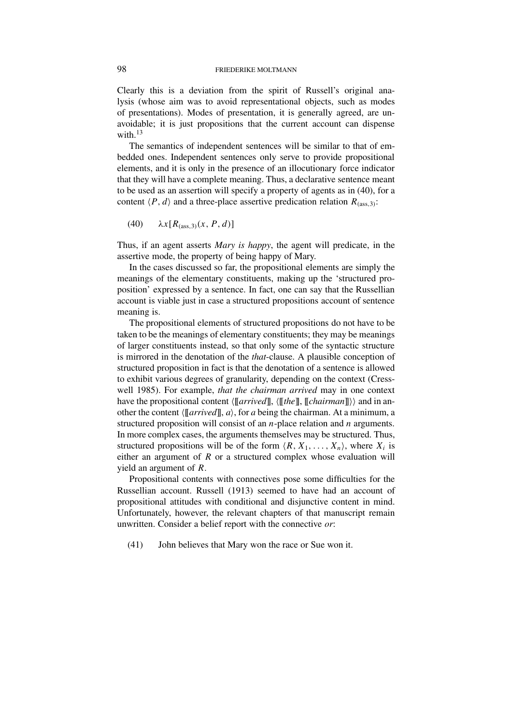Clearly this is a deviation from the spirit of Russell's original analysis (whose aim was to avoid representational objects, such as modes of presentations). Modes of presentation, it is generally agreed, are unavoidable; it is just propositions that the current account can dispense with.<sup>13</sup>

The semantics of independent sentences will be similar to that of embedded ones. Independent sentences only serve to provide propositional elements, and it is only in the presence of an illocutionary force indicator that they will have a complete meaning. Thus, a declarative sentence meant to be used as an assertion will specify a property of agents as in (40), for a content  $\langle P, d \rangle$  and a three-place assertive predication relation  $R_{(ass, 3)}$ :

(40)  $\lambda x [R_{(ass.3)}(x, P, d)]$ 

Thus, if an agent asserts *Mary is happy*, the agent will predicate, in the assertive mode, the property of being happy of Mary.

In the cases discussed so far, the propositional elements are simply the meanings of the elementary constituents, making up the 'structured proposition' expressed by a sentence. In fact, one can say that the Russellian account is viable just in case a structured propositions account of sentence meaning is.

The propositional elements of structured propositions do not have to be taken to be the meanings of elementary constituents; they may be meanings of larger constituents instead, so that only some of the syntactic structure is mirrored in the denotation of the *that*-clause. A plausible conception of structured proposition in fact is that the denotation of a sentence is allowed to exhibit various degrees of granularity, depending on the context (Cresswell 1985). For example, *that the chairman arrived* may in one context have the propositional content  $\langle \llbracket \text{arrived} \rrbracket$ ,  $\langle \llbracket \text{the} \rrbracket$ ,  $\langle \llbracket \text{charman} \rrbracket \rangle$  and in another the content  $\langle \llbracket$ *arrived* $\rrbracket$ , *a*), for *a* being the chairman. At a minimum, a structured proposition will consist of an *n*-place relation and *n* arguments. In more complex cases, the arguments themselves may be structured. Thus, structured propositions will be of the form  $\langle R, X_1, \ldots, X_n \rangle$ , where  $X_i$  is either an argument of *R* or a structured complex whose evaluation will yield an argument of *R*.

Propositional contents with connectives pose some difficulties for the Russellian account. Russell (1913) seemed to have had an account of propositional attitudes with conditional and disjunctive content in mind. Unfortunately, however, the relevant chapters of that manuscript remain unwritten. Consider a belief report with the connective *or*:

(41) John believes that Mary won the race or Sue won it.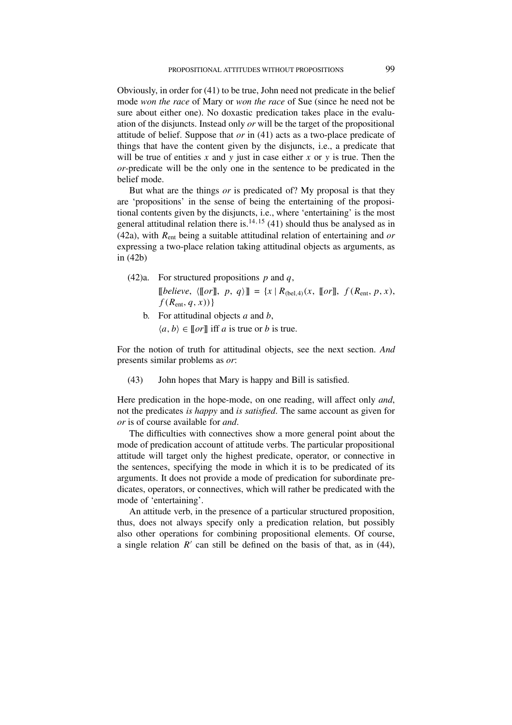Obviously, in order for (41) to be true, John need not predicate in the belief mode *won the race* of Mary or *won the race* of Sue (since he need not be sure about either one). No doxastic predication takes place in the evaluation of the disjuncts. Instead only *or* will be the target of the propositional attitude of belief. Suppose that *or* in (41) acts as a two-place predicate of things that have the content given by the disjuncts, i.e., a predicate that will be true of entities  $x$  and  $y$  just in case either  $x$  or  $y$  is true. Then the *or*-predicate will be the only one in the sentence to be predicated in the belief mode.

But what are the things *or* is predicated of? My proposal is that they are 'propositions' in the sense of being the entertaining of the propositional contents given by the disjuncts, i.e., where 'entertaining' is the most general attitudinal relation there is.<sup>14, 15</sup> (41) should thus be analysed as in (42a), with *R*ent being a suitable attitudinal relation of entertaining and *or* expressing a two-place relation taking attitudinal objects as arguments, as in (42b)

- (42)a. For structured propositions *p* and *q*,  $[[\text{believe}, \langle [\![\text{or}]\!], p, q \rangle] = \{x \mid R_{(\text{bel},4)}(x, [\![\text{or}]\!], f(R_{\text{ent}}, p, x),\}$ *f (R*ent*, q, x))*}
	- b. For attitudinal objects *a* and *b*,  $\langle a, b \rangle \in [\![or]\!]$  iff *a* is true or *b* is true.

For the notion of truth for attitudinal objects, see the next section. *And* presents similar problems as *or*:

(43) John hopes that Mary is happy and Bill is satisfied.

Here predication in the hope-mode, on one reading, will affect only *and*, not the predicates *is happy* and *is satisfied*. The same account as given for *or* is of course available for *and*.

The difficulties with connectives show a more general point about the mode of predication account of attitude verbs. The particular propositional attitude will target only the highest predicate, operator, or connective in the sentences, specifying the mode in which it is to be predicated of its arguments. It does not provide a mode of predication for subordinate predicates, operators, or connectives, which will rather be predicated with the mode of 'entertaining'.

An attitude verb, in the presence of a particular structured proposition, thus, does not always specify only a predication relation, but possibly also other operations for combining propositional elements. Of course, a single relation  $R'$  can still be defined on the basis of that, as in (44),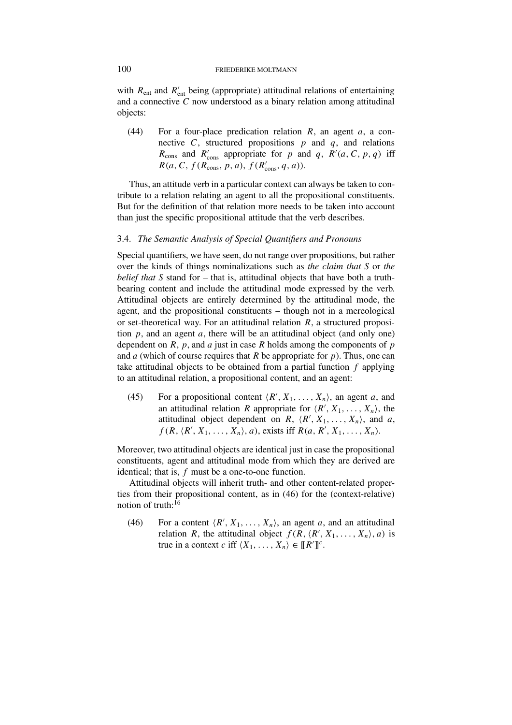with  $R_{ent}$  and  $R'_{ent}$  being (appropriate) attitudinal relations of entertaining and a connective *C* now understood as a binary relation among attitudinal objects:

(44) For a four-place predication relation *R*, an agent *a*, a connective *C*, structured propositions  $p$  and  $q$ , and relations  $R_{\text{cons}}$  and  $R'_{\text{cons}}$  appropriate for *p* and *q*,  $R'(a, C, p, q)$  iff  $R(a, C, f(R_{\text{cons}}, p, a), f(R'_{\text{cons}}, q, a)).$ 

Thus, an attitude verb in a particular context can always be taken to contribute to a relation relating an agent to all the propositional constituents. But for the definition of that relation more needs to be taken into account than just the specific propositional attitude that the verb describes.

## 3.4. *The Semantic Analysis of Special Quantifiers and Pronouns*

Special quantifiers, we have seen, do not range over propositions, but rather over the kinds of things nominalizations such as *the claim that S* or *the belief that S* stand for – that is, attitudinal objects that have both a truthbearing content and include the attitudinal mode expressed by the verb. Attitudinal objects are entirely determined by the attitudinal mode, the agent, and the propositional constituents – though not in a mereological or set-theoretical way. For an attitudinal relation *R*, a structured proposition *p*, and an agent *a*, there will be an attitudinal object (and only one) dependent on *R*, *p*, and *a* just in case *R* holds among the components of *p* and *a* (which of course requires that *R* be appropriate for *p*). Thus, one can take attitudinal objects to be obtained from a partial function *f* applying to an attitudinal relation, a propositional content, and an agent:

(45) For a propositional content  $\langle R', X_1, \ldots, X_n \rangle$ , an agent *a*, and an attitudinal relation *R* appropriate for  $\langle R', X_1, \ldots, X_n \rangle$ , the attitudinal object dependent on *R*,  $\langle R', X_1, \ldots, X_n \rangle$ , and *a*,  $f(R, \langle R', X_1, \ldots, X_n \rangle, a)$ , exists iff  $R(a, R', X_1, \ldots, X_n)$ .

Moreover, two attitudinal objects are identical just in case the propositional constituents, agent and attitudinal mode from which they are derived are identical; that is, *f* must be a one-to-one function.

Attitudinal objects will inherit truth- and other content-related properties from their propositional content, as in (46) for the (context-relative) notion of truth:16

(46) For a content  $\langle R', X_1, \ldots, X_n \rangle$ , an agent *a*, and an attitudinal relation *R*, the attitudinal object  $f(R, \langle R', X_1, \ldots, X_n \rangle, a)$  is true in a context *c* if  $\langle X_1, \ldots, X_n \rangle \in [ [R'] ]^c$ .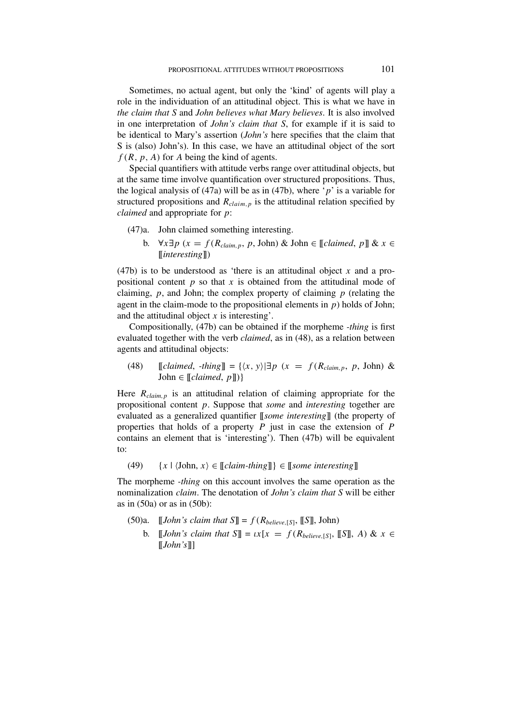Sometimes, no actual agent, but only the 'kind' of agents will play a role in the individuation of an attitudinal object. This is what we have in *the claim that S* and *John believes what Mary believes*. It is also involved in one interpretation of *John's claim that S*, for example if it is said to be identical to Mary's assertion (*John's* here specifies that the claim that S is (also) John's). In this case, we have an attitudinal object of the sort *f (R, p, A)* for *A* being the kind of agents.

Special quantifiers with attitude verbs range over attitudinal objects, but at the same time involve quantification over structured propositions. Thus, the logical analysis of (47a) will be as in (47b), where '*p*' is a variable for structured propositions and  $R_{claim,p}$  is the attitudinal relation specified by *claimed* and appropriate for *p*:

- (47)a. John claimed something interesting.
	- b. ∀*x*∃*p* (*x* = *f* ( $R_{claim, p}$ , *p*, John) & John ∈ [[*claimed*, *p*]] & *x* ∈ [[*interesting*]])

(47b) is to be understood as 'there is an attitudinal object *x* and a propositional content *p* so that *x* is obtained from the attitudinal mode of claiming, *p*, and John; the complex property of claiming *p* (relating the agent in the claim-mode to the propositional elements in *p*) holds of John; and the attitudinal object *x* is interesting'.

Compositionally, (47b) can be obtained if the morpheme *-thing* is first evaluated together with the verb *claimed*, as in (48), as a relation between agents and attitudinal objects:

 $(48)$  [*claimed, -thing*]] =  $\{(x, y) | \exists p \ (x = f(R_{claim, p}, p, John) \& \}$  $John \in [Calained, p])$ }

Here *Rclaim,p* is an attitudinal relation of claiming appropriate for the propositional content *p*. Suppose that *some* and *interesting* together are evaluated as a generalized quantifier [[*some interesting*]] (the property of properties that holds of a property *P* just in case the extension of *P* contains an element that is 'interesting'). Then (47b) will be equivalent to:

 $(49)$  {*x* |  $\langle$ John, *x* $\rangle \in [\![\n{claim\text{-}thing}]\!]$ }  $\in [\![\n{some\text{-}intersing}]\!]$ 

The morpheme *-thing* on this account involves the same operation as the nominalization *claim*. The denotation of *John's claim that S* will be either as in  $(50a)$  or as in  $(50b)$ :

- (50)a.  $\llbracket John's claim that  $S \rrbracket = f(R_{\text{believe},[S]}, \llbracket S \rrbracket, \text{John})$$ 
	- b.  $\llbracket John's claim that \mathcal{S} \rrbracket = \iota x[x = f(R_{\text{believe}}[s], \llbracket \mathcal{S} \rrbracket, A) \& x \in \mathcal{S}$ [[*John's*]]]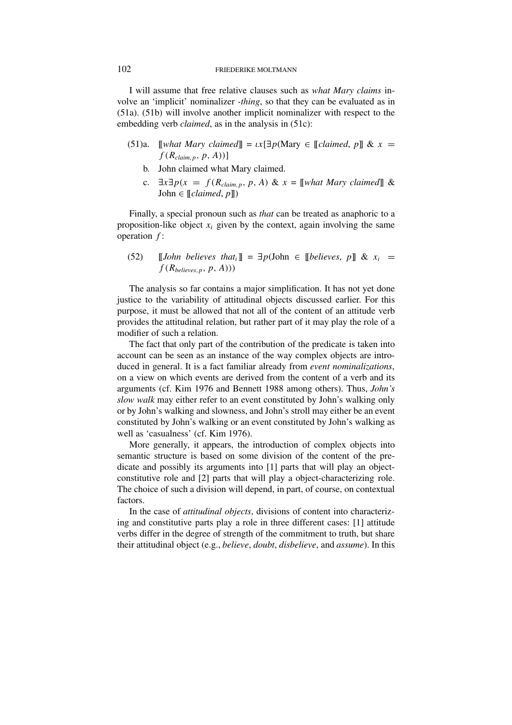I will assume that free relative clauses such as *what Mary claims* involve an 'implicit' nominalizer *-thing*, so that they can be evaluated as in (51a). (51b) will involve another implicit nominalizer with respect to the embedding verb *claimed*, as in the analysis in (51c):

- (51)a. [[*what Mary claimed*]] =  $\iota x \exists p$ (Mary  $\in$  [*claimed, p*]] &  $x =$  $f(R_{claim, p}, p, A))$ ]
	- b. John claimed what Mary claimed.
	- c. ∃*x*∃*p(x* = *f (Rclaim,p, p, A)* & *x* = [[*what Mary claimed*]] &  $John \in [Claimed, p])$

Finally, a special pronoun such as *that* can be treated as anaphoric to a proposition-like object  $x_i$  given by the context, again involving the same operation *f* :

(52)  $\Box$  [*John believes that*<sup>*i*</sup>]] =  $\exists p$ (John  $\in$  [[*believes, p*]] &  $x_i$  =  $f(R_{\text{helieves},p}, p, A))$ 

The analysis so far contains a major simplification. It has not yet done justice to the variability of attitudinal objects discussed earlier. For this purpose, it must be allowed that not all of the content of an attitude verb provides the attitudinal relation, but rather part of it may play the role of a modifier of such a relation.

The fact that only part of the contribution of the predicate is taken into account can be seen as an instance of the way complex objects are introduced in general. It is a fact familiar already from *event nominalizations*, on a view on which events are derived from the content of a verb and its arguments (cf. Kim 1976 and Bennett 1988 among others). Thus, *John's slow walk* may either refer to an event constituted by John's walking only or by John's walking and slowness, and John's stroll may either be an event constituted by John's walking or an event constituted by John's walking as well as 'casualness' (cf. Kim 1976).

More generally, it appears, the introduction of complex objects into semantic structure is based on some division of the content of the predicate and possibly its arguments into [1] parts that will play an objectconstitutive role and [2] parts that will play a object-characterizing role. The choice of such a division will depend, in part, of course, on contextual factors.

In the case of *attitudinal objects*, divisions of content into characterizing and constitutive parts play a role in three different cases: [1] attitude verbs differ in the degree of strength of the commitment to truth, but share their attitudinal object (e.g., *believe*, *doubt*, *disbelieve*, and *assume*). In this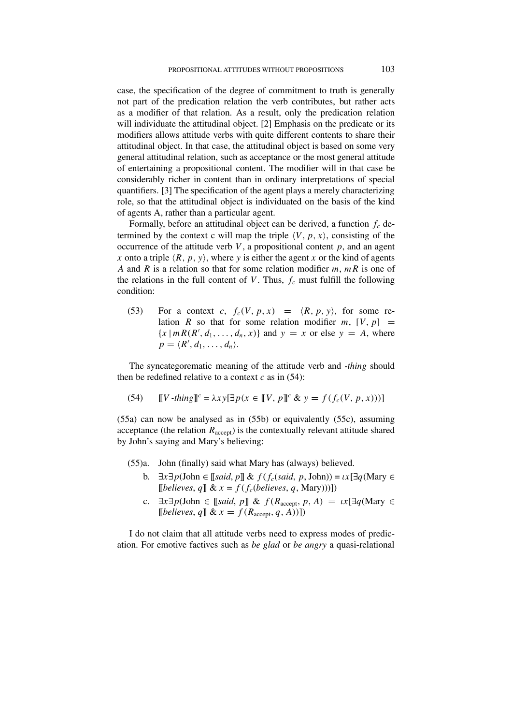case, the specification of the degree of commitment to truth is generally not part of the predication relation the verb contributes, but rather acts as a modifier of that relation. As a result, only the predication relation will individuate the attitudinal object. [2] Emphasis on the predicate or its modifiers allows attitude verbs with quite different contents to share their attitudinal object. In that case, the attitudinal object is based on some very general attitudinal relation, such as acceptance or the most general attitude of entertaining a propositional content. The modifier will in that case be considerably richer in content than in ordinary interpretations of special quantifiers. [3] The specification of the agent plays a merely characterizing role, so that the attitudinal object is individuated on the basis of the kind of agents A, rather than a particular agent.

Formally, before an attitudinal object can be derived, a function  $f_c$  determined by the context c will map the triple  $\langle V, p, x \rangle$ , consisting of the occurrence of the attitude verb  $V$ , a propositional content  $p$ , and an agent *x* onto a triple  $\langle R, p, y \rangle$ , where *y* is either the agent *x* or the kind of agents *A* and *R* is a relation so that for some relation modifier *m*, *mR* is one of the relations in the full content of *V*. Thus,  $f_c$  must fulfill the following condition:

(53) For a context *c*,  $f_c(V, p, x) = \langle R, p, y \rangle$ , for some relation *R* so that for some relation modifier *m*,  $[V, p] =$  ${x \mid mR(R', d_1, \ldots, d_n, x)}$  and  $y = x$  or else  $y = A$ , where  $p = \langle R', d_1, \ldots, d_n \rangle$ .

The syncategorematic meaning of the attitude verb and *-thing* should then be redefined relative to a context  $c$  as in  $(54)$ :

(54) 
$$
[V - thing] \circ = \lambda xy [\exists p (x \in [V, p]] \circ \& y = f(f_c(V, p, x)))]
$$

(55a) can now be analysed as in (55b) or equivalently (55c), assuming acceptance (the relation  $R_{\text{accept}}$ ) is the contextually relevant attitude shared by John's saying and Mary's believing:

(55)a. John (finally) said what Mary has (always) believed.

- b. ∃*x*∃*p*(John ∈ [[*said*, *p*]] & *f* (*fc*(*said*, *p*, John)) = *ιx*[∃*q*(Mary ∈  $[believes, q]$  &  $x = f(f_c(believes, q, Mary)))]$
- c.  $\exists x \exists p$ (John  $\in$  [[*said*,  $p$ ]] &  $f(R_{\text{accept}}, p, A) = \iota x$ [ $\exists q$ (Mary  $\in$  $[believes, q] \& x = f(R_{accept}, q, A))]$

I do not claim that all attitude verbs need to express modes of predication. For emotive factives such as *be glad* or *be angry* a quasi-relational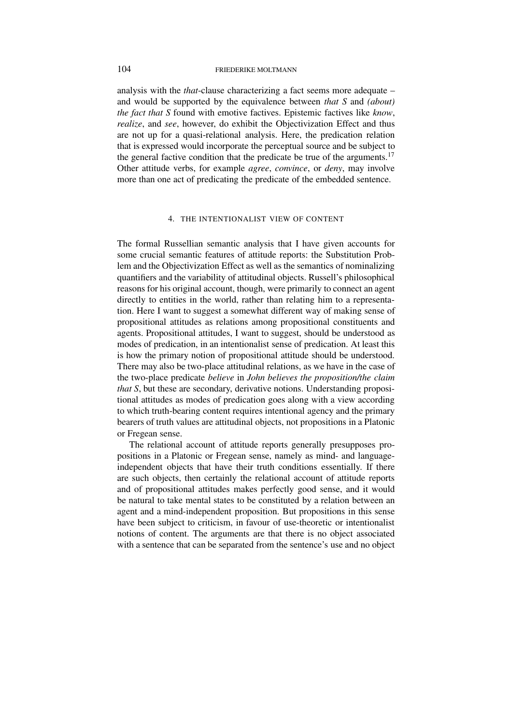analysis with the *that*-clause characterizing a fact seems more adequate – and would be supported by the equivalence between *that S* and *(about) the fact that S* found with emotive factives. Epistemic factives like *know*, *realize*, and *see*, however, do exhibit the Objectivization Effect and thus are not up for a quasi-relational analysis. Here, the predication relation that is expressed would incorporate the perceptual source and be subject to the general factive condition that the predicate be true of the arguments.<sup>17</sup> Other attitude verbs, for example *agree*, *convince*, or *deny*, may involve more than one act of predicating the predicate of the embedded sentence.

### 4. THE INTENTIONALIST VIEW OF CONTENT

The formal Russellian semantic analysis that I have given accounts for some crucial semantic features of attitude reports: the Substitution Problem and the Objectivization Effect as well as the semantics of nominalizing quantifiers and the variability of attitudinal objects. Russell's philosophical reasons for his original account, though, were primarily to connect an agent directly to entities in the world, rather than relating him to a representation. Here I want to suggest a somewhat different way of making sense of propositional attitudes as relations among propositional constituents and agents. Propositional attitudes, I want to suggest, should be understood as modes of predication, in an intentionalist sense of predication. At least this is how the primary notion of propositional attitude should be understood. There may also be two-place attitudinal relations, as we have in the case of the two-place predicate *believe* in *John believes the proposition/the claim that S*, but these are secondary, derivative notions. Understanding propositional attitudes as modes of predication goes along with a view according to which truth-bearing content requires intentional agency and the primary bearers of truth values are attitudinal objects, not propositions in a Platonic or Fregean sense.

The relational account of attitude reports generally presupposes propositions in a Platonic or Fregean sense, namely as mind- and languageindependent objects that have their truth conditions essentially. If there are such objects, then certainly the relational account of attitude reports and of propositional attitudes makes perfectly good sense, and it would be natural to take mental states to be constituted by a relation between an agent and a mind-independent proposition. But propositions in this sense have been subject to criticism, in favour of use-theoretic or intentionalist notions of content. The arguments are that there is no object associated with a sentence that can be separated from the sentence's use and no object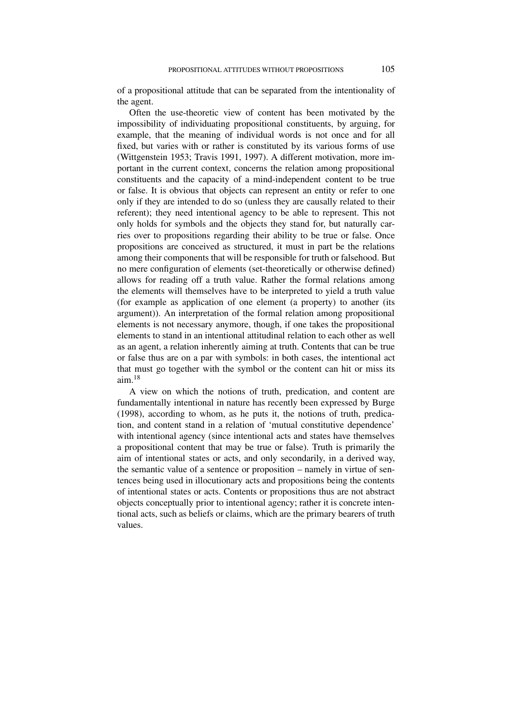of a propositional attitude that can be separated from the intentionality of the agent.

Often the use-theoretic view of content has been motivated by the impossibility of individuating propositional constituents, by arguing, for example, that the meaning of individual words is not once and for all fixed, but varies with or rather is constituted by its various forms of use (Wittgenstein 1953; Travis 1991, 1997). A different motivation, more important in the current context, concerns the relation among propositional constituents and the capacity of a mind-independent content to be true or false. It is obvious that objects can represent an entity or refer to one only if they are intended to do so (unless they are causally related to their referent); they need intentional agency to be able to represent. This not only holds for symbols and the objects they stand for, but naturally carries over to propositions regarding their ability to be true or false. Once propositions are conceived as structured, it must in part be the relations among their components that will be responsible for truth or falsehood. But no mere configuration of elements (set-theoretically or otherwise defined) allows for reading off a truth value. Rather the formal relations among the elements will themselves have to be interpreted to yield a truth value (for example as application of one element (a property) to another (its argument)). An interpretation of the formal relation among propositional elements is not necessary anymore, though, if one takes the propositional elements to stand in an intentional attitudinal relation to each other as well as an agent, a relation inherently aiming at truth. Contents that can be true or false thus are on a par with symbols: in both cases, the intentional act that must go together with the symbol or the content can hit or miss its aim.<sup>18</sup>

A view on which the notions of truth, predication, and content are fundamentally intentional in nature has recently been expressed by Burge (1998), according to whom, as he puts it, the notions of truth, predication, and content stand in a relation of 'mutual constitutive dependence' with intentional agency (since intentional acts and states have themselves a propositional content that may be true or false). Truth is primarily the aim of intentional states or acts, and only secondarily, in a derived way, the semantic value of a sentence or proposition – namely in virtue of sentences being used in illocutionary acts and propositions being the contents of intentional states or acts. Contents or propositions thus are not abstract objects conceptually prior to intentional agency; rather it is concrete intentional acts, such as beliefs or claims, which are the primary bearers of truth values.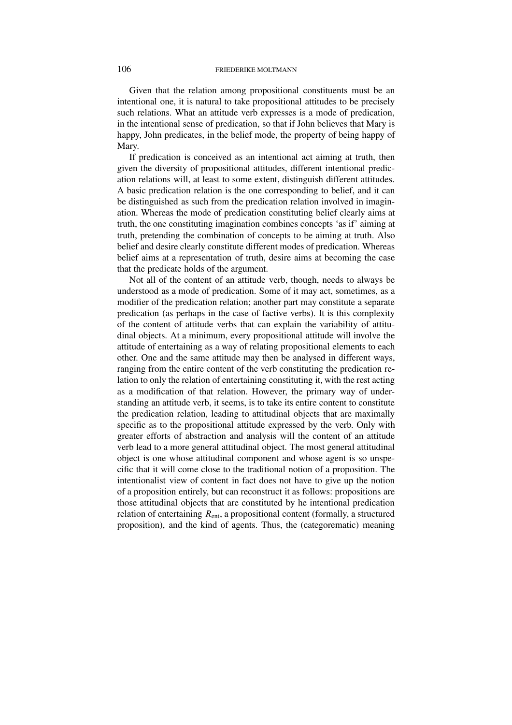Given that the relation among propositional constituents must be an intentional one, it is natural to take propositional attitudes to be precisely such relations. What an attitude verb expresses is a mode of predication, in the intentional sense of predication, so that if John believes that Mary is happy, John predicates, in the belief mode, the property of being happy of Mary.

If predication is conceived as an intentional act aiming at truth, then given the diversity of propositional attitudes, different intentional predication relations will, at least to some extent, distinguish different attitudes. A basic predication relation is the one corresponding to belief, and it can be distinguished as such from the predication relation involved in imagination. Whereas the mode of predication constituting belief clearly aims at truth, the one constituting imagination combines concepts 'as if' aiming at truth, pretending the combination of concepts to be aiming at truth. Also belief and desire clearly constitute different modes of predication. Whereas belief aims at a representation of truth, desire aims at becoming the case that the predicate holds of the argument.

Not all of the content of an attitude verb, though, needs to always be understood as a mode of predication. Some of it may act, sometimes, as a modifier of the predication relation; another part may constitute a separate predication (as perhaps in the case of factive verbs). It is this complexity of the content of attitude verbs that can explain the variability of attitudinal objects. At a minimum, every propositional attitude will involve the attitude of entertaining as a way of relating propositional elements to each other. One and the same attitude may then be analysed in different ways, ranging from the entire content of the verb constituting the predication relation to only the relation of entertaining constituting it, with the rest acting as a modification of that relation. However, the primary way of understanding an attitude verb, it seems, is to take its entire content to constitute the predication relation, leading to attitudinal objects that are maximally specific as to the propositional attitude expressed by the verb. Only with greater efforts of abstraction and analysis will the content of an attitude verb lead to a more general attitudinal object. The most general attitudinal object is one whose attitudinal component and whose agent is so unspecific that it will come close to the traditional notion of a proposition. The intentionalist view of content in fact does not have to give up the notion of a proposition entirely, but can reconstruct it as follows: propositions are those attitudinal objects that are constituted by he intentional predication relation of entertaining  $R_{ent}$ , a propositional content (formally, a structured proposition), and the kind of agents. Thus, the (categorematic) meaning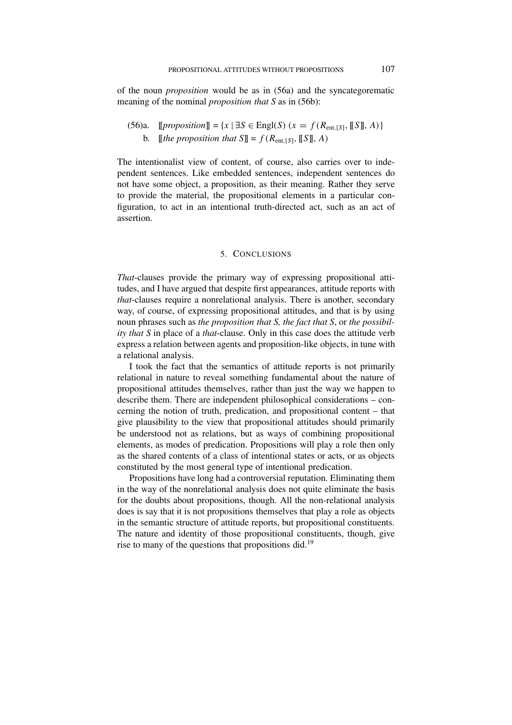of the noun *proposition* would be as in (56a) and the syncategorematic meaning of the nominal *proposition that S* as in (56b):

(56)a. 
$$
[proposition] = \{x \mid \exists S \in \text{Engl}(S) \ (x = f(R_{\text{ent},[S]}, [S], A)\}
$$
\nb.  $[the proposition that S] = f(R_{\text{ent},[S]}, [S], A)$ 

The intentionalist view of content, of course, also carries over to independent sentences. Like embedded sentences, independent sentences do not have some object, a proposition, as their meaning. Rather they serve to provide the material, the propositional elements in a particular configuration, to act in an intentional truth-directed act, such as an act of assertion.

### 5. CONCLUSIONS

*That*-clauses provide the primary way of expressing propositional attitudes, and I have argued that despite first appearances, attitude reports with *that*-clauses require a nonrelational analysis. There is another, secondary way, of course, of expressing propositional attitudes, and that is by using noun phrases such as *the proposition that S, the fact that S*, or *the possibility that S* in place of a *that*-clause. Only in this case does the attitude verb express a relation between agents and proposition-like objects, in tune with a relational analysis.

I took the fact that the semantics of attitude reports is not primarily relational in nature to reveal something fundamental about the nature of propositional attitudes themselves, rather than just the way we happen to describe them. There are independent philosophical considerations – concerning the notion of truth, predication, and propositional content – that give plausibility to the view that propositional attitudes should primarily be understood not as relations, but as ways of combining propositional elements, as modes of predication. Propositions will play a role then only as the shared contents of a class of intentional states or acts, or as objects constituted by the most general type of intentional predication.

Propositions have long had a controversial reputation. Eliminating them in the way of the nonrelational analysis does not quite eliminate the basis for the doubts about propositions, though. All the non-relational analysis does is say that it is not propositions themselves that play a role as objects in the semantic structure of attitude reports, but propositional constituents. The nature and identity of those propositional constituents, though, give rise to many of the questions that propositions did.<sup>19</sup>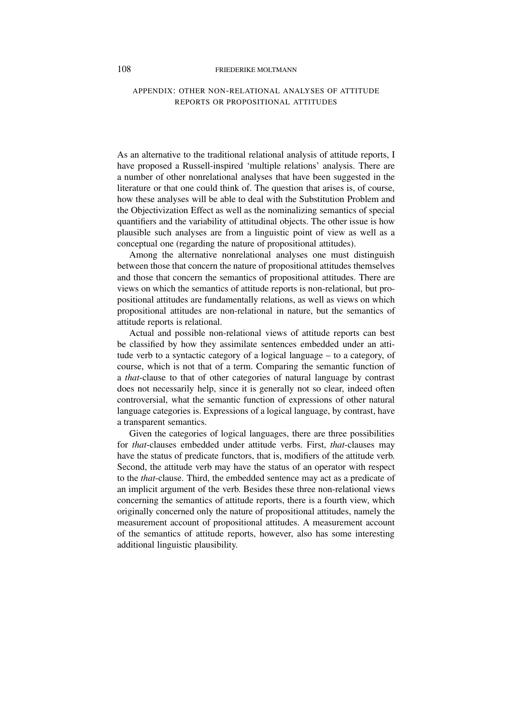# APPENDIX: OTHER NON-RELATIONAL ANALYSES OF ATTITUDE REPORTS OR PROPOSITIONAL ATTITUDES

As an alternative to the traditional relational analysis of attitude reports, I have proposed a Russell-inspired 'multiple relations' analysis. There are a number of other nonrelational analyses that have been suggested in the literature or that one could think of. The question that arises is, of course, how these analyses will be able to deal with the Substitution Problem and the Objectivization Effect as well as the nominalizing semantics of special quantifiers and the variability of attitudinal objects. The other issue is how plausible such analyses are from a linguistic point of view as well as a conceptual one (regarding the nature of propositional attitudes).

Among the alternative nonrelational analyses one must distinguish between those that concern the nature of propositional attitudes themselves and those that concern the semantics of propositional attitudes. There are views on which the semantics of attitude reports is non-relational, but propositional attitudes are fundamentally relations, as well as views on which propositional attitudes are non-relational in nature, but the semantics of attitude reports is relational.

Actual and possible non-relational views of attitude reports can best be classified by how they assimilate sentences embedded under an attitude verb to a syntactic category of a logical language – to a category, of course, which is not that of a term. Comparing the semantic function of a *that*-clause to that of other categories of natural language by contrast does not necessarily help, since it is generally not so clear, indeed often controversial, what the semantic function of expressions of other natural language categories is. Expressions of a logical language, by contrast, have a transparent semantics.

Given the categories of logical languages, there are three possibilities for *that*-clauses embedded under attitude verbs. First, *that*-clauses may have the status of predicate functors, that is, modifiers of the attitude verb. Second, the attitude verb may have the status of an operator with respect to the *that*-clause. Third, the embedded sentence may act as a predicate of an implicit argument of the verb. Besides these three non-relational views concerning the semantics of attitude reports, there is a fourth view, which originally concerned only the nature of propositional attitudes, namely the measurement account of propositional attitudes. A measurement account of the semantics of attitude reports, however, also has some interesting additional linguistic plausibility.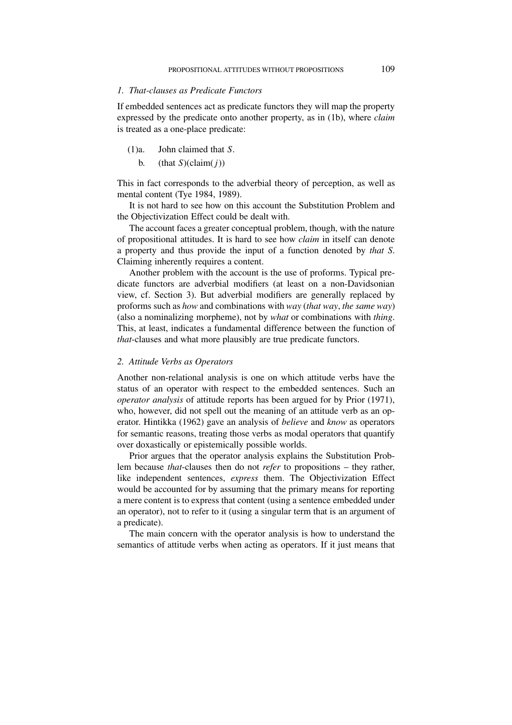## *1. That-clauses as Predicate Functors*

If embedded sentences act as predicate functors they will map the property expressed by the predicate onto another property, as in (1b), where *claim* is treated as a one-place predicate:

- (1)a. John claimed that *S*.
	- b. (that  $S$ )(claim( $j$ ))

This in fact corresponds to the adverbial theory of perception, as well as mental content (Tye 1984, 1989).

It is not hard to see how on this account the Substitution Problem and the Objectivization Effect could be dealt with.

The account faces a greater conceptual problem, though, with the nature of propositional attitudes. It is hard to see how *claim* in itself can denote a property and thus provide the input of a function denoted by *that S*. Claiming inherently requires a content.

Another problem with the account is the use of proforms. Typical predicate functors are adverbial modifiers (at least on a non-Davidsonian view, cf. Section 3). But adverbial modifiers are generally replaced by proforms such as *how* and combinations with *way* (*that way*, *the same way*) (also a nominalizing morpheme), not by *what* or combinations with *thing*. This, at least, indicates a fundamental difference between the function of *that*-clauses and what more plausibly are true predicate functors.

### *2. Attitude Verbs as Operators*

Another non-relational analysis is one on which attitude verbs have the status of an operator with respect to the embedded sentences. Such an *operator analysis* of attitude reports has been argued for by Prior (1971), who, however, did not spell out the meaning of an attitude verb as an operator. Hintikka (1962) gave an analysis of *believe* and *know* as operators for semantic reasons, treating those verbs as modal operators that quantify over doxastically or epistemically possible worlds.

Prior argues that the operator analysis explains the Substitution Problem because *that*-clauses then do not *refer* to propositions – they rather, like independent sentences, *express* them. The Objectivization Effect would be accounted for by assuming that the primary means for reporting a mere content is to express that content (using a sentence embedded under an operator), not to refer to it (using a singular term that is an argument of a predicate).

The main concern with the operator analysis is how to understand the semantics of attitude verbs when acting as operators. If it just means that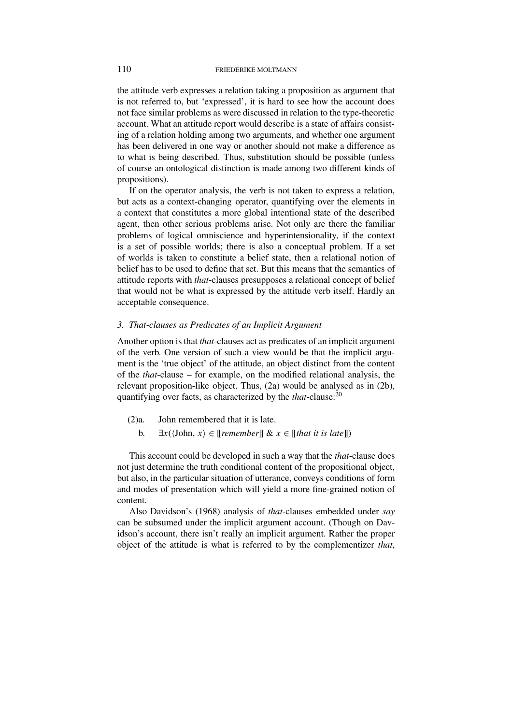the attitude verb expresses a relation taking a proposition as argument that is not referred to, but 'expressed', it is hard to see how the account does not face similar problems as were discussed in relation to the type-theoretic account. What an attitude report would describe is a state of affairs consisting of a relation holding among two arguments, and whether one argument has been delivered in one way or another should not make a difference as to what is being described. Thus, substitution should be possible (unless of course an ontological distinction is made among two different kinds of propositions).

If on the operator analysis, the verb is not taken to express a relation, but acts as a context-changing operator, quantifying over the elements in a context that constitutes a more global intentional state of the described agent, then other serious problems arise. Not only are there the familiar problems of logical omniscience and hyperintensionality, if the context is a set of possible worlds; there is also a conceptual problem. If a set of worlds is taken to constitute a belief state, then a relational notion of belief has to be used to define that set. But this means that the semantics of attitude reports with *that*-clauses presupposes a relational concept of belief that would not be what is expressed by the attitude verb itself. Hardly an acceptable consequence.

## *3. That-clauses as Predicates of an Implicit Argument*

Another option is that *that*-clauses act as predicates of an implicit argument of the verb. One version of such a view would be that the implicit argument is the 'true object' of the attitude, an object distinct from the content of the *that*-clause – for example, on the modified relational analysis, the relevant proposition-like object. Thus, (2a) would be analysed as in (2b), quantifying over facts, as characterized by the *that*-clause:20

(2)a. John remembered that it is late.

b.  $\exists x (\langle \text{John}, x \rangle \in [\text{remember}] \& x \in [\text{that it is late}])$ 

This account could be developed in such a way that the *that*-clause does not just determine the truth conditional content of the propositional object, but also, in the particular situation of utterance, conveys conditions of form and modes of presentation which will yield a more fine-grained notion of content.

Also Davidson's (1968) analysis of *that*-clauses embedded under *say* can be subsumed under the implicit argument account. (Though on Davidson's account, there isn't really an implicit argument. Rather the proper object of the attitude is what is referred to by the complementizer *that*,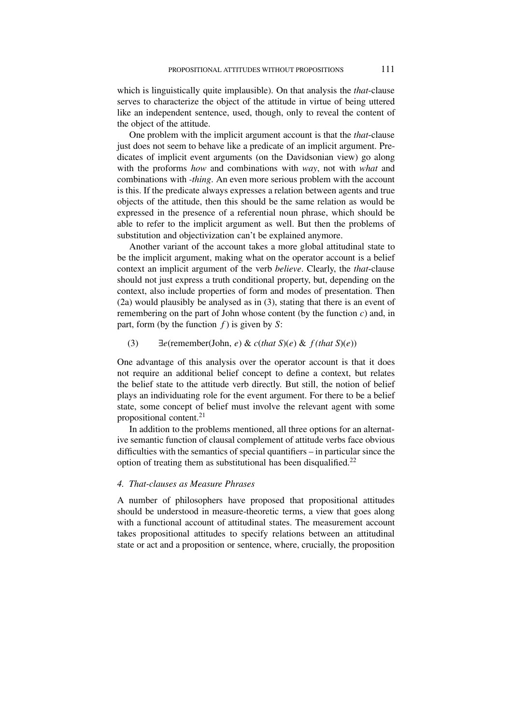which is linguistically quite implausible). On that analysis the *that*-clause serves to characterize the object of the attitude in virtue of being uttered like an independent sentence, used, though, only to reveal the content of the object of the attitude.

One problem with the implicit argument account is that the *that*-clause just does not seem to behave like a predicate of an implicit argument. Predicates of implicit event arguments (on the Davidsonian view) go along with the proforms *how* and combinations with *way*, not with *what* and combinations with *-thing*. An even more serious problem with the account is this. If the predicate always expresses a relation between agents and true objects of the attitude, then this should be the same relation as would be expressed in the presence of a referential noun phrase, which should be able to refer to the implicit argument as well. But then the problems of substitution and objectivization can't be explained anymore.

Another variant of the account takes a more global attitudinal state to be the implicit argument, making what on the operator account is a belief context an implicit argument of the verb *believe*. Clearly, the *that*-clause should not just express a truth conditional property, but, depending on the context, also include properties of form and modes of presentation. Then (2a) would plausibly be analysed as in (3), stating that there is an event of remembering on the part of John whose content (by the function *c*) and, in part, form (by the function *f* ) is given by *S*:

# (3) ∃*e*(remember(John, *e*) & *c*(*that S*)(*e*) & *f (that S*)(*e*))

One advantage of this analysis over the operator account is that it does not require an additional belief concept to define a context, but relates the belief state to the attitude verb directly. But still, the notion of belief plays an individuating role for the event argument. For there to be a belief state, some concept of belief must involve the relevant agent with some propositional content.<sup>21</sup>

In addition to the problems mentioned, all three options for an alternative semantic function of clausal complement of attitude verbs face obvious difficulties with the semantics of special quantifiers – in particular since the option of treating them as substitutional has been disqualified.<sup>22</sup>

# *4. That-clauses as Measure Phrases*

A number of philosophers have proposed that propositional attitudes should be understood in measure-theoretic terms, a view that goes along with a functional account of attitudinal states. The measurement account takes propositional attitudes to specify relations between an attitudinal state or act and a proposition or sentence, where, crucially, the proposition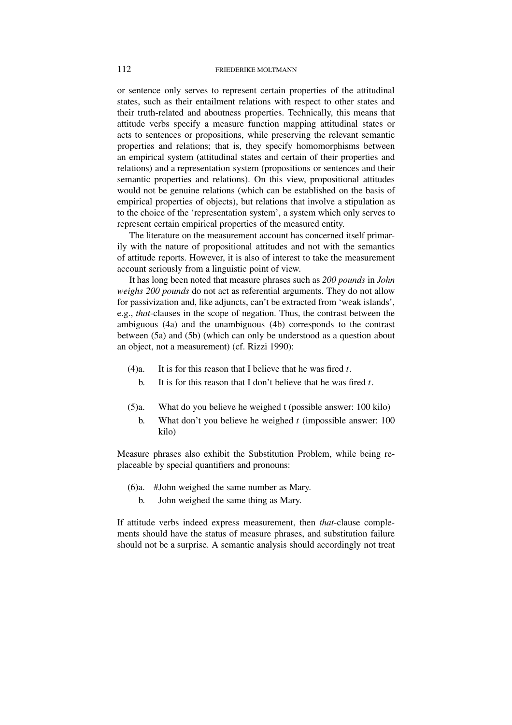or sentence only serves to represent certain properties of the attitudinal states, such as their entailment relations with respect to other states and their truth-related and aboutness properties. Technically, this means that attitude verbs specify a measure function mapping attitudinal states or acts to sentences or propositions, while preserving the relevant semantic properties and relations; that is, they specify homomorphisms between an empirical system (attitudinal states and certain of their properties and relations) and a representation system (propositions or sentences and their semantic properties and relations). On this view, propositional attitudes would not be genuine relations (which can be established on the basis of empirical properties of objects), but relations that involve a stipulation as to the choice of the 'representation system', a system which only serves to represent certain empirical properties of the measured entity.

The literature on the measurement account has concerned itself primarily with the nature of propositional attitudes and not with the semantics of attitude reports. However, it is also of interest to take the measurement account seriously from a linguistic point of view.

It has long been noted that measure phrases such as *200 pounds* in *John weighs 200 pounds* do not act as referential arguments. They do not allow for passivization and, like adjuncts, can't be extracted from 'weak islands', e.g., *that*-clauses in the scope of negation. Thus, the contrast between the ambiguous (4a) and the unambiguous (4b) corresponds to the contrast between (5a) and (5b) (which can only be understood as a question about an object, not a measurement) (cf. Rizzi 1990):

- (4)a. It is for this reason that I believe that he was fired *t*.
	- b. It is for this reason that I don't believe that he was fired *t*.
- (5)a. What do you believe he weighed t (possible answer: 100 kilo)
	- b. What don't you believe he weighed *t* (impossible answer: 100 kilo)

Measure phrases also exhibit the Substitution Problem, while being replaceable by special quantifiers and pronouns:

- (6)a. #John weighed the same number as Mary.
	- b. John weighed the same thing as Mary.

If attitude verbs indeed express measurement, then *that*-clause complements should have the status of measure phrases, and substitution failure should not be a surprise. A semantic analysis should accordingly not treat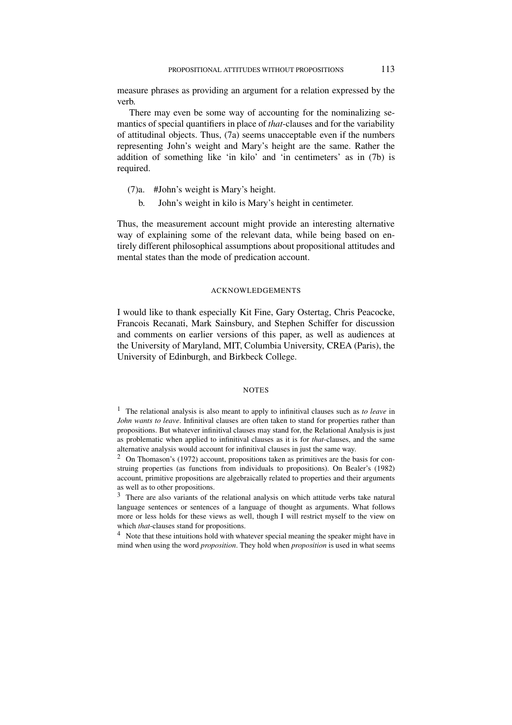measure phrases as providing an argument for a relation expressed by the verb.

There may even be some way of accounting for the nominalizing semantics of special quantifiers in place of *that*-clauses and for the variability of attitudinal objects. Thus, (7a) seems unacceptable even if the numbers representing John's weight and Mary's height are the same. Rather the addition of something like 'in kilo' and 'in centimeters' as in (7b) is required.

- (7)a. #John's weight is Mary's height.
	- b. John's weight in kilo is Mary's height in centimeter.

Thus, the measurement account might provide an interesting alternative way of explaining some of the relevant data, while being based on entirely different philosophical assumptions about propositional attitudes and mental states than the mode of predication account.

# ACKNOWLEDGEMENTS

I would like to thank especially Kit Fine, Gary Ostertag, Chris Peacocke, Francois Recanati, Mark Sainsbury, and Stephen Schiffer for discussion and comments on earlier versions of this paper, as well as audiences at the University of Maryland, MIT, Columbia University, CREA (Paris), the University of Edinburgh, and Birkbeck College.

### **NOTES**

<sup>1</sup> The relational analysis is also meant to apply to infinitival clauses such as *to leave* in *John wants to leave*. Infinitival clauses are often taken to stand for properties rather than propositions. But whatever infinitival clauses may stand for, the Relational Analysis is just as problematic when applied to infinitival clauses as it is for *that*-clauses, and the same alternative analysis would account for infinitival clauses in just the same way.

 $2$  On Thomason's (1972) account, propositions taken as primitives are the basis for construing properties (as functions from individuals to propositions). On Bealer's (1982) account, primitive propositions are algebraically related to properties and their arguments as well as to other propositions.

<sup>3</sup> There are also variants of the relational analysis on which attitude verbs take natural language sentences or sentences of a language of thought as arguments. What follows more or less holds for these views as well, though I will restrict myself to the view on which *that*-clauses stand for propositions.

<sup>4</sup> Note that these intuitions hold with whatever special meaning the speaker might have in mind when using the word *proposition*. They hold when *proposition* is used in what seems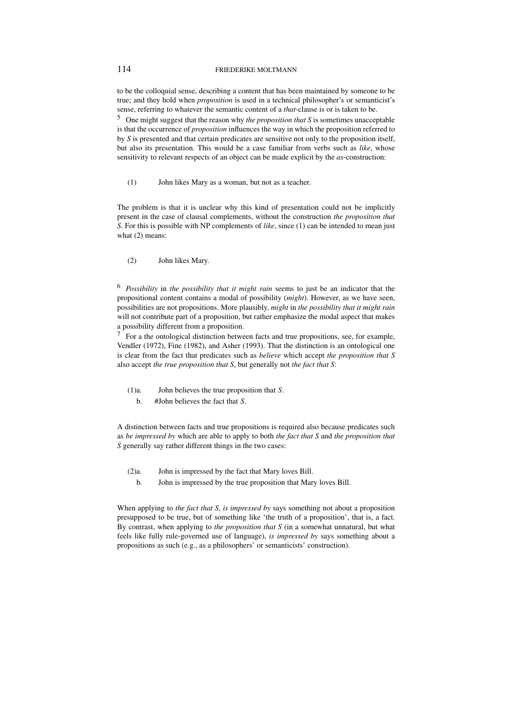to be the colloquial sense, describing a content that has been maintained by someone to be true; and they hold when *proposition* is used in a technical philosopher's or semanticist's sense, referring to whatever the semantic content of a *that*-clause is or is taken to be.

<sup>5</sup> One might suggest that the reason why *the proposition that S* is sometimes unacceptable is that the occurrence of *proposition* influences the way in which the proposition referred to by *S* is presented and that certain predicates are sensitive not only to the proposition itself, but also its presentation. This would be a case familiar from verbs such as *like*, whose sensitivity to relevant respects of an object can be made explicit by the *as*-construction:

(1) John likes Mary as a woman, but not as a teacher.

The problem is that it is unclear why this kind of presentation could not be implicitly present in the case of clausal complements, without the construction *the proposition that S*. For this is possible with NP complements of *like*, since (1) can be intended to mean just what (2) means:

(2) John likes Mary.

<sup>6</sup> *Possibility* in *the possibility that it might rain* seems to just be an indicator that the propositional content contains a modal of possibility (*might*). However, as we have seen, possibilities are not propositions. More plausibly, *might* in *the possibility that it might rain* will not contribute part of a proposition, but rather emphasize the modal aspect that makes a possibility different from a proposition.

<sup>7</sup> For a the ontological distinction between facts and true propositions, see, for example, Vendler (1972), Fine (1982), and Asher (1993). That the distinction is an ontological one is clear from the fact that predicates such as *believe* which accept *the proposition that S* also accept *the true proposition that S*, but generally not *the fact that S*:

- (1)a. John believes the true proposition that *S*.
	- b. #John believes the fact that *S*.

A distinction between facts and true propositions is required also because predicates such as *be impressed by* which are able to apply to both *the fact that S* and *the proposition that S* generally say rather different things in the two cases:

- (2)a. John is impressed by the fact that Mary loves Bill.
	- b. John is impressed by the true proposition that Mary loves Bill.

When applying to *the fact that S*, *is impressed by* says something not about a proposition presupposed to be true, but of something like 'the truth of a proposition', that is, a fact. By contrast, when applying to *the proposition that S* (in a somewhat unnatural, but what feels like fully rule-governed use of language), *is impressed by* says something about a propositions as such (e.g., as a philosophers' or semanticists' construction).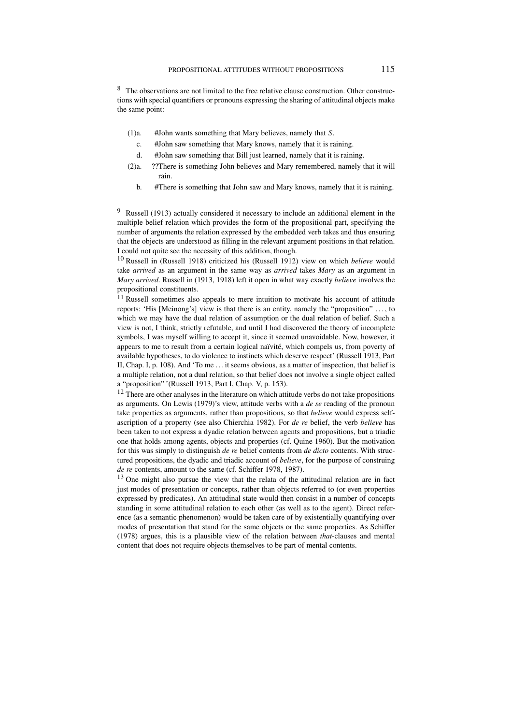<sup>8</sup> The observations are not limited to the free relative clause construction. Other constructions with special quantifiers or pronouns expressing the sharing of attitudinal objects make the same point:

- (1)a. #John wants something that Mary believes, namely that *S*.
	- c. #John saw something that Mary knows, namely that it is raining.
	- d. #John saw something that Bill just learned, namely that it is raining.
- (2)a. ??There is something John believes and Mary remembered, namely that it will rain.
	- b. #There is something that John saw and Mary knows, namely that it is raining.

<sup>9</sup> Russell (1913) actually considered it necessary to include an additional element in the multiple belief relation which provides the form of the propositional part, specifying the number of arguments the relation expressed by the embedded verb takes and thus ensuring that the objects are understood as filling in the relevant argument positions in that relation. I could not quite see the necessity of this addition, though.

<sup>10</sup> Russell in (Russell 1918) criticized his (Russell 1912) view on which *believe* would take *arrived* as an argument in the same way as *arrived* takes *Mary* as an argument in *Mary arrived*. Russell in (1913, 1918) left it open in what way exactly *believe* involves the propositional constituents.

<sup>11</sup> Russell sometimes also appeals to mere intuition to motivate his account of attitude reports: 'His [Meinong's] view is that there is an entity, namely the "proposition" . . . , to which we may have the dual relation of assumption or the dual relation of belief. Such a view is not, I think, strictly refutable, and until I had discovered the theory of incomplete symbols, I was myself willing to accept it, since it seemed unavoidable. Now, however, it appears to me to result from a certain logical naïvité, which compels us, from poverty of available hypotheses, to do violence to instincts which deserve respect' (Russell 1913, Part II, Chap. I, p. 108). And 'To me . . . it seems obvious, as a matter of inspection, that belief is a multiple relation, not a dual relation, so that belief does not involve a single object called a "proposition" '(Russell 1913, Part I, Chap. V, p. 153).

 $12$  There are other analyses in the literature on which attitude verbs do not take propositions as arguments. On Lewis (1979)'s view, attitude verbs with a *de se* reading of the pronoun take properties as arguments, rather than propositions, so that *believe* would express selfascription of a property (see also Chierchia 1982). For *de re* belief, the verb *believe* has been taken to not express a dyadic relation between agents and propositions, but a triadic one that holds among agents, objects and properties (cf. Quine 1960). But the motivation for this was simply to distinguish *de re* belief contents from *de dicto* contents. With structured propositions, the dyadic and triadic account of *believe*, for the purpose of construing *de re* contents, amount to the same (cf. Schiffer 1978, 1987).

 $13$  One might also pursue the view that the relata of the attitudinal relation are in fact just modes of presentation or concepts, rather than objects referred to (or even properties expressed by predicates). An attitudinal state would then consist in a number of concepts standing in some attitudinal relation to each other (as well as to the agent). Direct reference (as a semantic phenomenon) would be taken care of by existentially quantifying over modes of presentation that stand for the same objects or the same properties. As Schiffer (1978) argues, this is a plausible view of the relation between *that*-clauses and mental content that does not require objects themselves to be part of mental contents.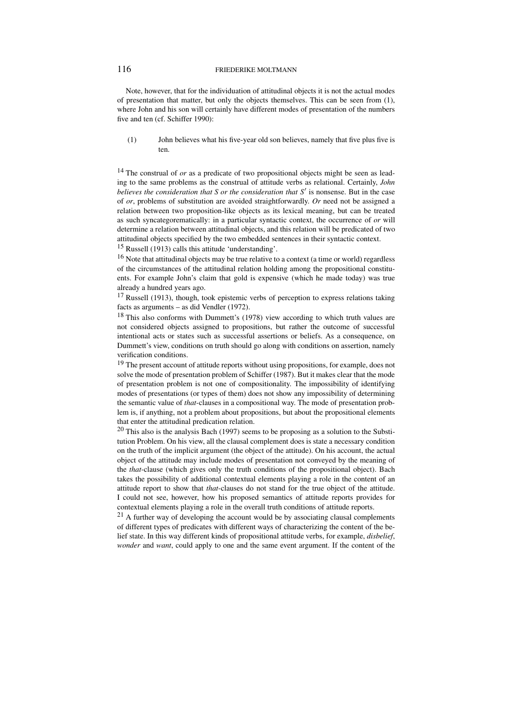Note, however, that for the individuation of attitudinal objects it is not the actual modes of presentation that matter, but only the objects themselves. This can be seen from (1), where John and his son will certainly have different modes of presentation of the numbers five and ten (cf. Schiffer 1990):

(1) John believes what his five-year old son believes, namely that five plus five is ten.

<sup>14</sup> The construal of *or* as a predicate of two propositional objects might be seen as leading to the same problems as the construal of attitude verbs as relational. Certainly, *John believes the consideration that S or the consideration that S'* is nonsense. But in the case of *or*, problems of substitution are avoided straightforwardly. *Or* need not be assigned a relation between two proposition-like objects as its lexical meaning, but can be treated as such syncategorematically: in a particular syntactic context, the occurrence of *or* will determine a relation between attitudinal objects, and this relation will be predicated of two attitudinal objects specified by the two embedded sentences in their syntactic context.

<sup>15</sup> Russell (1913) calls this attitude 'understanding'.

<sup>16</sup> Note that attitudinal objects may be true relative to a context (a time or world) regardless of the circumstances of the attitudinal relation holding among the propositional constituents. For example John's claim that gold is expensive (which he made today) was true already a hundred years ago.

 $17$  Russell (1913), though, took epistemic verbs of perception to express relations taking facts as arguments – as did Vendler (1972).

<sup>18</sup> This also conforms with Dummett's (1978) view according to which truth values are not considered objects assigned to propositions, but rather the outcome of successful intentional acts or states such as successful assertions or beliefs. As a consequence, on Dummett's view, conditions on truth should go along with conditions on assertion, namely verification conditions.

<sup>19</sup> The present account of attitude reports without using propositions, for example, does not solve the mode of presentation problem of Schiffer (1987). But it makes clear that the mode of presentation problem is not one of compositionality. The impossibility of identifying modes of presentations (or types of them) does not show any impossibility of determining the semantic value of *that*-clauses in a compositional way. The mode of presentation problem is, if anything, not a problem about propositions, but about the propositional elements that enter the attitudinal predication relation.

<sup>20</sup> This also is the analysis Bach (1997) seems to be proposing as a solution to the Substitution Problem. On his view, all the clausal complement does is state a necessary condition on the truth of the implicit argument (the object of the attitude). On his account, the actual object of the attitude may include modes of presentation not conveyed by the meaning of the *that*-clause (which gives only the truth conditions of the propositional object). Bach takes the possibility of additional contextual elements playing a role in the content of an attitude report to show that *that*-clauses do not stand for the true object of the attitude. I could not see, however, how his proposed semantics of attitude reports provides for contextual elements playing a role in the overall truth conditions of attitude reports.

<sup>21</sup> A further way of developing the account would be by associating clausal complements of different types of predicates with different ways of characterizing the content of the belief state. In this way different kinds of propositional attitude verbs, for example, *disbelief*, *wonder* and *want*, could apply to one and the same event argument. If the content of the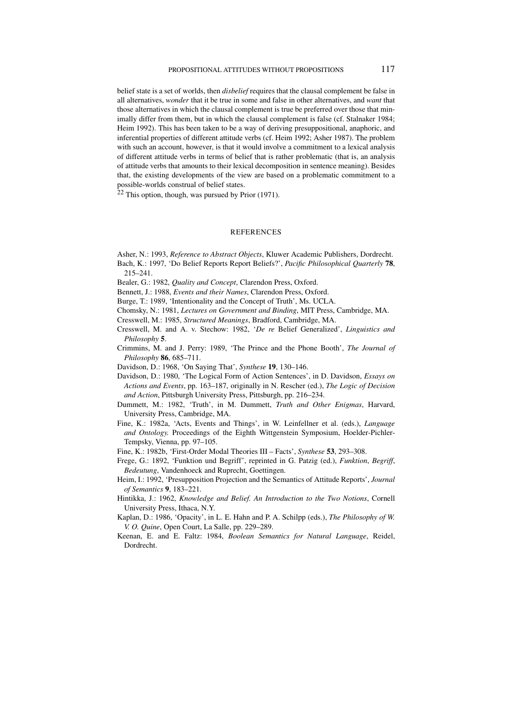belief state is a set of worlds, then *disbelief* requires that the clausal complement be false in all alternatives, *wonder* that it be true in some and false in other alternatives, and *want* that those alternatives in which the clausal complement is true be preferred over those that minimally differ from them, but in which the clausal complement is false (cf. Stalnaker 1984; Heim 1992). This has been taken to be a way of deriving presuppositional, anaphoric, and inferential properties of different attitude verbs (cf. Heim 1992; Asher 1987). The problem with such an account, however, is that it would involve a commitment to a lexical analysis of different attitude verbs in terms of belief that is rather problematic (that is, an analysis of attitude verbs that amounts to their lexical decomposition in sentence meaning). Besides that, the existing developments of the view are based on a problematic commitment to a possible-worlds construal of belief states.

 $22$  This option, though, was pursued by Prior (1971).

#### REFERENCES

Asher, N.: 1993, *Reference to Abstract Objects*, Kluwer Academic Publishers, Dordrecht. Bach, K.: 1997, 'Do Belief Reports Report Beliefs?', *Pacific Philosophical Quarterly* **78**, 215–241.

Bealer, G.: 1982, *Quality and Concept*, Clarendon Press, Oxford.

Bennett, J.: 1988, *Events and their Names*, Clarendon Press, Oxford.

Burge, T.: 1989, 'Intentionality and the Concept of Truth', Ms. UCLA.

Chomsky, N.: 1981, *Lectures on Government and Binding*, MIT Press, Cambridge, MA.

Cresswell, M.: 1985, *Structured Meanings*, Bradford, Cambridge, MA.

- Cresswell, M. and A. v. Stechow: 1982, '*De re* Belief Generalized', *Linguistics and Philosophy* **5**.
- Crimmins, M. and J. Perry: 1989, 'The Prince and the Phone Booth', *The Journal of Philosophy* **86**, 685–711.

Davidson, D.: 1968, 'On Saying That', *Synthese* **19**, 130–146.

Davidson, D.: 1980, 'The Logical Form of Action Sentences', in D. Davidson, *Essays on Actions and Events*, pp. 163–187, originally in N. Rescher (ed.), *The Logic of Decision and Action*, Pittsburgh University Press, Pittsburgh, pp. 216–234.

- Dummett, M.: 1982, 'Truth', in M. Dummett, *Truth and Other Enigmas*, Harvard, University Press, Cambridge, MA.
- Fine, K.: 1982a, 'Acts, Events and Things', in W. Leinfellner et al. (eds.), *Language and Ontology.* Proceedings of the Eighth Wittgenstein Symposium, Hoelder-Pichler-Tempsky, Vienna, pp. 97–105.
- Fine, K.: 1982b, 'First-Order Modal Theories III Facts', *Synthese* **53**, 293–308.
- Frege, G.: 1892, 'Funktion und Begriff', reprinted in G. Patzig (ed.), *Funktion*, *Begriff*, *Bedeutung*, Vandenhoeck and Ruprecht, Goettingen.
- Heim, I.: 1992, 'Presupposition Projection and the Semantics of Attitude Reports', *Journal of Semantics* **9**, 183–221.
- Hintikka, J.: 1962, *Knowledge and Belief. An Introduction to the Two Notions*, Cornell University Press, Ithaca, N.Y.
- Kaplan, D.: 1986, 'Opacity', in L. E. Hahn and P. A. Schilpp (eds.), *The Philosophy of W. V. O. Quine*, Open Court, La Salle, pp. 229–289.
- Keenan, E. and E. Faltz: 1984, *Boolean Semantics for Natural Language*, Reidel, Dordrecht.